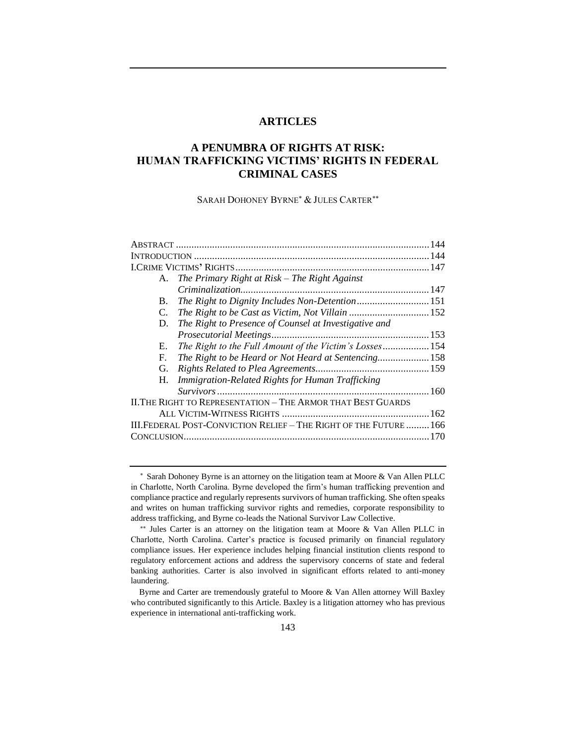## **ARTICLES**

# **A PENUMBRA OF RIGHTS AT RISK: HUMAN TRAFFICKING VICTIMS' RIGHTS IN FEDERAL CRIMINAL CASES**

SARAH DOHONEY BYRNE<sup>\*</sup> & JULES CARTER<sup>\*\*</sup>

|                                                                   | A. The Primary Right at Risk - The Right Against                    |  |  |
|-------------------------------------------------------------------|---------------------------------------------------------------------|--|--|
|                                                                   |                                                                     |  |  |
| B.                                                                | The Right to Dignity Includes Non-Detention 151                     |  |  |
| C.                                                                | The Right to be Cast as Victim, Not Villain  152                    |  |  |
| D.                                                                | The Right to Presence of Counsel at Investigative and               |  |  |
|                                                                   |                                                                     |  |  |
| Е.                                                                | The Right to the Full Amount of the Victim's Losses 154             |  |  |
| F.                                                                | The Right to be Heard or Not Heard at Sentencing 158                |  |  |
| G.                                                                |                                                                     |  |  |
| H.                                                                | Immigration-Related Rights for Human Trafficking                    |  |  |
|                                                                   |                                                                     |  |  |
|                                                                   | <b>II. THE RIGHT TO REPRESENTATION - THE ARMOR THAT BEST GUARDS</b> |  |  |
|                                                                   |                                                                     |  |  |
| III.FEDERAL POST-CONVICTION RELIEF - THE RIGHT OF THE FUTURE  166 |                                                                     |  |  |
|                                                                   |                                                                     |  |  |
|                                                                   |                                                                     |  |  |

Sarah Dohoney Byrne is an attorney on the litigation team at Moore & Van Allen PLLC in Charlotte, North Carolina. Byrne developed the firm's human trafficking prevention and compliance practice and regularly represents survivors of human trafficking. She often speaks and writes on human trafficking survivor rights and remedies, corporate responsibility to address trafficking, and Byrne co-leads the National Survivor Law Collective.

<sup>\*\*</sup> Jules Carter is an attorney on the litigation team at Moore & Van Allen PLLC in Charlotte, North Carolina. Carter's practice is focused primarily on financial regulatory compliance issues. Her experience includes helping financial institution clients respond to regulatory enforcement actions and address the supervisory concerns of state and federal banking authorities. Carter is also involved in significant efforts related to anti-money laundering.

Byrne and Carter are tremendously grateful to Moore & Van Allen attorney Will Baxley who contributed significantly to this Article. Baxley is a litigation attorney who has previous experience in international anti-trafficking work.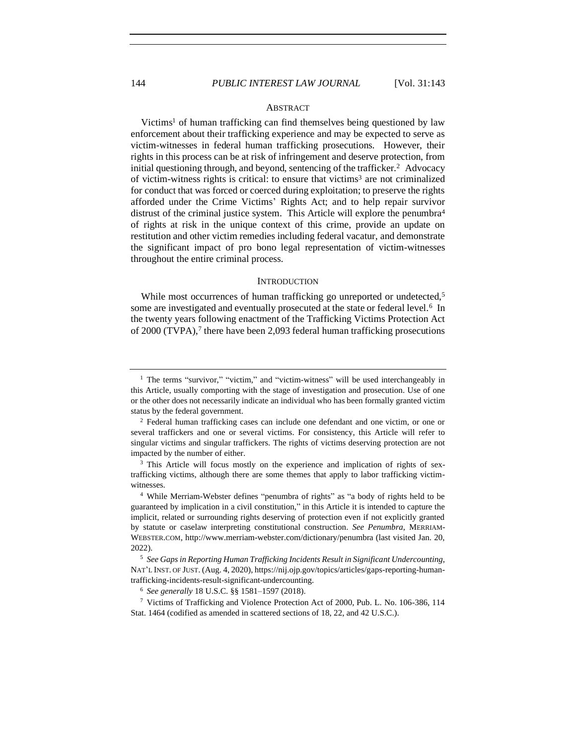### **ABSTRACT**

Victims<sup>1</sup> of human trafficking can find themselves being questioned by law enforcement about their trafficking experience and may be expected to serve as victim-witnesses in federal human trafficking prosecutions. However, their rights in this process can be at risk of infringement and deserve protection, from initial questioning through, and beyond, sentencing of the trafficker.<sup>2</sup> Advocacy of victim-witness rights is critical: to ensure that victims<sup>3</sup> are not criminalized for conduct that was forced or coerced during exploitation; to preserve the rights afforded under the Crime Victims' Rights Act; and to help repair survivor distrust of the criminal justice system. This Article will explore the penumbra<sup>4</sup> of rights at risk in the unique context of this crime, provide an update on restitution and other victim remedies including federal vacatur, and demonstrate the significant impact of pro bono legal representation of victim-witnesses throughout the entire criminal process.

#### **INTRODUCTION**

While most occurrences of human trafficking go unreported or undetected,<sup>5</sup> some are investigated and eventually prosecuted at the state or federal level.<sup>6</sup> In the twenty years following enactment of the Trafficking Victims Protection Act of 2000 (TVPA),<sup>7</sup> there have been 2,093 federal human trafficking prosecutions

<sup>3</sup> This Article will focus mostly on the experience and implication of rights of sextrafficking victims, although there are some themes that apply to labor trafficking victimwitnesses.

<sup>4</sup> While Merriam-Webster defines "penumbra of rights" as "a body of rights held to be guaranteed by implication in a civil constitution," in this Article it is intended to capture the implicit, related or surrounding rights deserving of protection even if not explicitly granted by statute or caselaw interpreting constitutional construction. *See Penumbra*, MERRIAM-WEBSTER.COM, http://www.merriam-webster.com/dictionary/penumbra (last visited Jan. 20, 2022).

<sup>5</sup> *See Gaps in Reporting Human Trafficking Incidents Result in Significant Undercounting*, NAT'L INST. OF JUST. (Aug. 4, 2020), https://nij.ojp.gov/topics/articles/gaps-reporting-humantrafficking-incidents-result-significant-undercounting.

<sup>6</sup> *See generally* 18 U.S.C. §§ 1581–1597 (2018).

<sup>7</sup> Victims of Trafficking and Violence Protection Act of 2000, Pub. L. No. 106-386, 114 Stat. 1464 (codified as amended in scattered sections of 18, 22, and 42 U.S.C.).

 $1$  The terms "survivor," "victim," and "victim-witness" will be used interchangeably in this Article, usually comporting with the stage of investigation and prosecution. Use of one or the other does not necessarily indicate an individual who has been formally granted victim status by the federal government.

<sup>2</sup> Federal human trafficking cases can include one defendant and one victim, or one or several traffickers and one or several victims. For consistency, this Article will refer to singular victims and singular traffickers. The rights of victims deserving protection are not impacted by the number of either.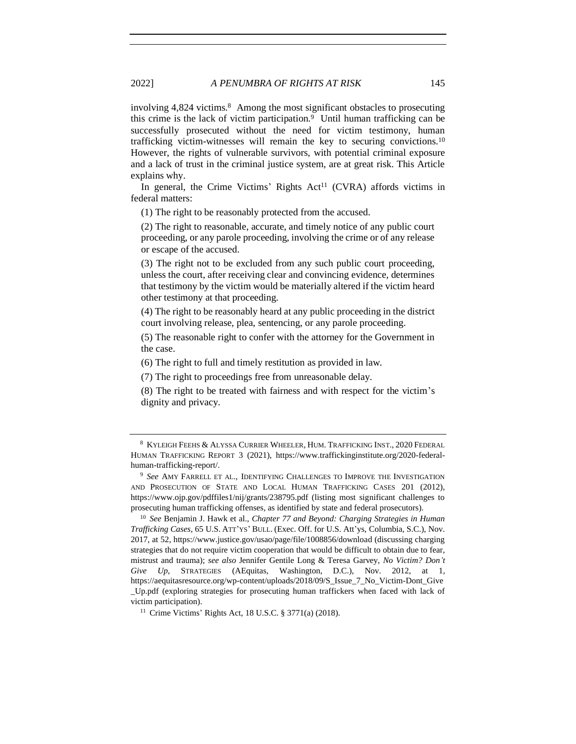<span id="page-2-1"></span>involving 4,824 victims.<sup>8</sup> Among the most significant obstacles to prosecuting this crime is the lack of victim participation.<sup>9</sup> Until human trafficking can be successfully prosecuted without the need for victim testimony, human trafficking victim-witnesses will remain the key to securing convictions.<sup>10</sup> However, the rights of vulnerable survivors, with potential criminal exposure and a lack of trust in the criminal justice system, are at great risk. This Article explains why.

In general, the Crime Victims' Rights Act<sup>11</sup> (CVRA) affords victims in federal matters:

(1) The right to be reasonably protected from the accused.

(2) The right to reasonable, accurate, and timely notice of any public court proceeding, or any parole proceeding, involving the crime or of any release or escape of the accused.

(3) The right not to be excluded from any such public court proceeding, unless the court, after receiving clear and convincing evidence, determines that testimony by the victim would be materially altered if the victim heard other testimony at that proceeding.

(4) The right to be reasonably heard at any public proceeding in the district court involving release, plea, sentencing, or any parole proceeding.

(5) The reasonable right to confer with the attorney for the Government in the case.

(6) The right to full and timely restitution as provided in law.

(7) The right to proceedings free from unreasonable delay.

(8) The right to be treated with fairness and with respect for the victim's dignity and privacy.

<span id="page-2-0"></span>

<sup>8</sup> KYLEIGH FEEHS & ALYSSA CURRIER WHEELER, HUM. TRAFFICKING INST., 2020 FEDERAL HUMAN TRAFFICKING REPORT 3 (2021), https://www.traffickinginstitute.org/2020-federalhuman-trafficking-report/.

<sup>9</sup> *See* AMY FARRELL ET AL., IDENTIFYING CHALLENGES TO IMPROVE THE INVESTIGATION AND PROSECUTION OF STATE AND LOCAL HUMAN TRAFFICKING CASES 201 (2012), https://www.ojp.gov/pdffiles1/nij/grants/238795.pdf (listing most significant challenges to prosecuting human trafficking offenses, as identified by state and federal prosecutors).

<sup>10</sup> *See* Benjamin J. Hawk et al., *Chapter 77 and Beyond: Charging Strategies in Human Trafficking Cases*, 65 U.S. ATT'YS' BULL. (Exec. Off. for U.S. Att'ys, Columbia, S.C.), Nov. 2017, at 52, https://www.justice.gov/usao/page/file/1008856/download (discussing charging strategies that do not require victim cooperation that would be difficult to obtain due to fear, mistrust and trauma); *see also* Jennifer Gentile Long & Teresa Garvey, *No Victim? Don't Give Up*, STRATEGIES (AEquitas, Washington, D.C.), Nov. 2012, at 1, https://aequitasresource.org/wp-content/uploads/2018/09/S\_Issue\_7\_No\_Victim-Dont\_Give \_Up.pdf (exploring strategies for prosecuting human traffickers when faced with lack of victim participation).

<sup>11</sup> Crime Victims' Rights Act, 18 U.S.C. § 3771(a) (2018).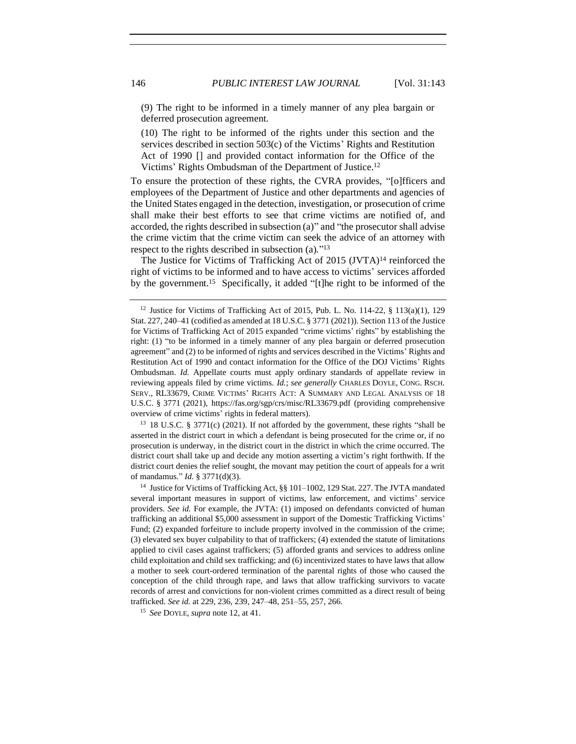(9) The right to be informed in a timely manner of any plea bargain or deferred prosecution agreement.

<span id="page-3-0"></span>(10) The right to be informed of the rights under this section and the services described in section 503(c) of the Victims' Rights and Restitution Act of 1990 [] and provided contact information for the Office of the Victims' Rights Ombudsman of the Department of Justice.<sup>12</sup>

To ensure the protection of these rights, the CVRA provides, "[o]fficers and employees of the Department of Justice and other departments and agencies of the United States engaged in the detection, investigation, or prosecution of crime shall make their best efforts to see that [crime victims a](https://www.law.cornell.edu/definitions/uscode.php?width=840&height=800&iframe=true&def_id=18-USC-45977974-1916343759&term_occur=999&term_src=title:18:part:II:chapter:237:section:3771)re notified of, and accorded, the rights described in subsection (a)" and "the prosecutor shall advise the [crime victim](https://www.law.cornell.edu/definitions/uscode.php?width=840&height=800&iframe=true&def_id=18-USC-45977974-1916343759&term_occur=999&term_src=title:18:part:II:chapter:237:section:3771) that the [crime victim](https://www.law.cornell.edu/definitions/uscode.php?width=840&height=800&iframe=true&def_id=18-USC-45977974-1916343759&term_occur=999&term_src=title:18:part:II:chapter:237:section:3771) can seek the advice of an attorney with respect to the rights described in subsection (a).<sup>"13</sup>

The Justice for Victims of Trafficking Act of 2015 (JVTA)<sup>14</sup> reinforced the right of victims to be informed and to have access to victims' services afforded by the government.<sup>15</sup> Specifically, it added "[t]he right to be informed of the

<sup>13</sup> 18 U.S.C. § 3771(c) (2021). If not afforded by the government, these rights "shall be asserted in the district court in which a defendant is being prosecuted for the crime or, if no prosecution is underway, in the district court in the district in which the crime occurred. The district court shall take up and decide any motion asserting a victim's right forthwith. If the district court denies the relief sought, the movant may petition the court of appeals for a writ of mandamus." *Id.* § 3771(d)(3).

<sup>14</sup> Justice for Victims of Trafficking Act, §§ 101–1002, 129 Stat. 227. The JVTA mandated several important measures in support of victims, law enforcement, and victims' service providers. *See id.* For example, the JVTA: (1) imposed on defendants convicted of human trafficking an additional \$5,000 assessment in support of the Domestic Trafficking Victims' Fund; (2) expanded forfeiture to include property involved in the commission of the crime; (3) elevated sex buyer culpability to that of traffickers; (4) extended the statute of limitations applied to civil cases against traffickers; (5) afforded grants and services to address online child exploitation and child sex trafficking; and (6) incentivized states to have laws that allow a mother to seek court-ordered termination of the parental rights of those who caused the conception of the child through rape, and laws that allow trafficking survivors to vacate records of arrest and convictions for non-violent crimes committed as a direct result of being trafficked. *See id.* at 229, 236, 239, 247–48, 251–55, 257, 266.

<sup>15</sup> *See* DOYLE, *supra* note [12,](#page-3-0) at 41.

<sup>&</sup>lt;sup>12</sup> Justice for Victims of Trafficking Act of 2015, Pub. L. No. 114-22,  $\frac{8}{3}$  113(a)(1), 129 Stat. 227, 240–41 (codified as amended at 18 U.S.C. § 3771 (2021)). Section 113 of the Justice for Victims of Trafficking Act of 2015 expanded "crime victims' rights" by establishing the right: (1) "to be informed in a timely manner of any plea bargain or deferred prosecution agreement" and (2) to be informed of rights and services described in the Victims' Rights and Restitution Act of 1990 and contact information for the Office of the DOJ Victims' Rights Ombudsman. *Id.* Appellate courts must apply ordinary standards of appellate review in reviewing appeals filed by crime victims. *Id.*; *see generally* CHARLES DOYLE, CONG. RSCH. SERV., RL33679, CRIME VICTIMS' RIGHTS ACT: A SUMMARY AND LEGAL ANALYSIS OF 18 U.S.C. § 3771 (2021), https://fas.org/sgp/crs/misc/RL33679.pdf (providing comprehensive overview of crime victims' rights in federal matters).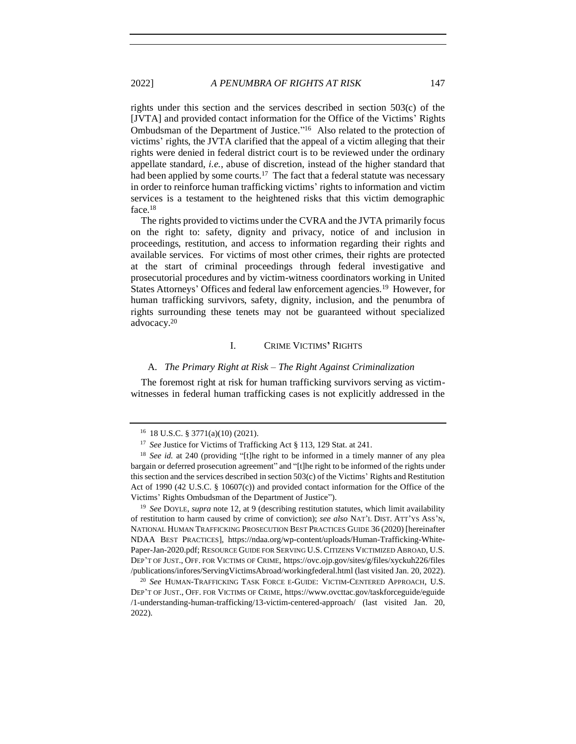rights under this section and the services described in section 503(c) of the [JVTA] and provided contact information for the Office of the Victims' Rights Ombudsman of the Department of Justice."<sup>16</sup> Also related to the protection of victims' rights, the JVTA clarified that the appeal of a victim alleging that their rights were denied in federal district court is to be reviewed under the ordinary appellate standard, *i.e.*, abuse of discretion, instead of the higher standard that had been applied by some courts.<sup>17</sup> The fact that a federal statute was necessary in order to reinforce human trafficking victims' rights to information and victim services is a testament to the heightened risks that this victim demographic face.<sup>18</sup>

The rights provided to victims under the CVRA and the JVTA primarily focus on the right to: safety, dignity and privacy, notice of and inclusion in proceedings, restitution, and access to information regarding their rights and available services. For victims of most other crimes, their rights are protected at the start of criminal proceedings through federal investigative and prosecutorial procedures and by victim-witness coordinators working in United States Attorneys' Offices and federal law enforcement agencies.<sup>19</sup> However, for human trafficking survivors, safety, dignity, inclusion, and the penumbra of rights surrounding these tenets may not be guaranteed without specialized advocacy.<sup>20</sup>

### <span id="page-4-0"></span>I. CRIME VICTIMS**'** RIGHTS

### A. *The Primary Right at Risk – The Right Against Criminalization*

The foremost right at risk for human trafficking survivors serving as victimwitnesses in federal human trafficking cases is not explicitly addressed in the

<sup>19</sup> *See* DOYLE, *supra* note [12,](#page-3-0) at 9 (describing restitution statutes, which limit availability of restitution to harm caused by crime of conviction); *see also* NAT'L DIST. ATT'YS ASS'N, NATIONAL HUMAN TRAFFICKING PROSECUTION BEST PRACTICES GUIDE 36 (2020) [hereinafter NDAA BEST PRACTICES], https://ndaa.org/wp-content/uploads/Human-Trafficking-White-Paper-Jan-2020.pdf; RESOURCE GUIDE FOR SERVING U.S. CITIZENS VICTIMIZED ABROAD, U.S. DEP'T OF JUST., OFF. FOR VICTIMS OF CRIME, https://ovc.ojp.gov/sites/g/files/xyckuh226/files /publications/infores/ServingVictimsAbroad/workingfederal.html (last visited Jan. 20, 2022).

<sup>20</sup> *See* HUMAN-TRAFFICKING TASK FORCE E-GUIDE: VICTIM-CENTERED APPROACH, U.S. DEP'T OF JUST., OFF. FOR VICTIMS OF CRIME, https://www.ovcttac.gov/taskforceguide/eguide /1-understanding-human-trafficking/13-victim-centered-approach/ (last visited Jan. 20, 2022).

<sup>16</sup> 18 U.S.C. § 3771(a)(10) (2021).

<sup>&</sup>lt;sup>17</sup> *See* Justice for Victims of Trafficking Act § 113, 129 Stat. at 241.

<sup>18</sup> *See id.* at 240 (providing "[t]he right to be informed in a timely manner of any plea bargain or deferred prosecution agreement" and "[t]he right to be informed of the rights under this section and the services described in section 503(c) of the Victims' Rights and Restitution Act of 1990 (42 U.S.C. § 10607(c)) and provided contact information for the Office of the Victims' Rights Ombudsman of the Department of Justice").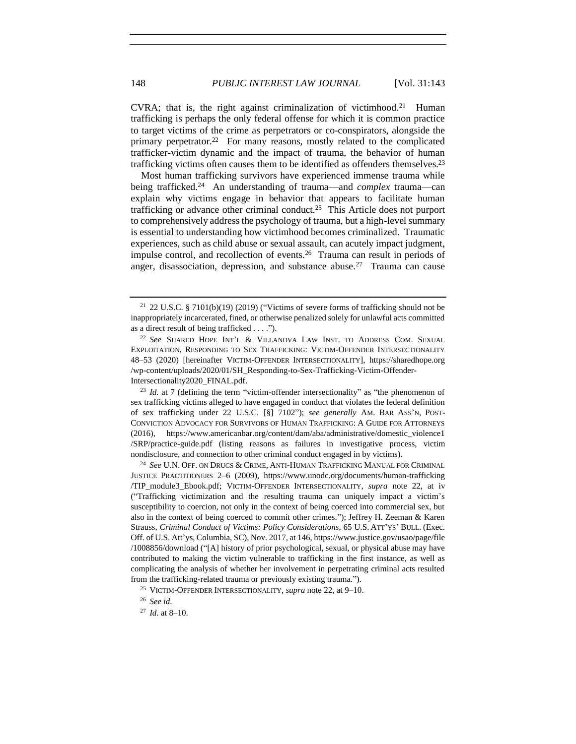<span id="page-5-0"></span>CVRA; that is, the right against criminalization of victimhood.<sup>21</sup> Human trafficking is perhaps the only federal offense for which it is common practice to target victims of the crime as perpetrators or co-conspirators, alongside the primary perpetrator.<sup>22</sup> For many reasons, mostly related to the complicated trafficker-victim dynamic and the impact of trauma, the behavior of human trafficking victims often causes them to be identified as offenders themselves.<sup>23</sup>

<span id="page-5-1"></span>Most human trafficking survivors have experienced immense trauma while being trafficked.<sup>24</sup> An understanding of trauma—and *complex* trauma—can explain why victims engage in behavior that appears to facilitate human trafficking or advance other criminal conduct.<sup>25</sup> This Article does not purport to comprehensively address the psychology of trauma, but a high-level summary is essential to understanding how victimhood becomes criminalized. Traumatic experiences, such as child abuse or sexual assault, can acutely impact judgment, impulse control, and recollection of events.<sup>26</sup> Trauma can result in periods of anger, disassociation, depression, and substance abuse.<sup>27</sup> Trauma can cause

<sup>23</sup> *Id.* at 7 (defining the term "victim-offender intersectionality" as "the phenomenon of sex trafficking victims alleged to have engaged in conduct that violates the federal definition of sex trafficking under 22 U.S.C. [§] 7102"); *see generally* AM. BAR ASS'N, POST-CONVICTION ADVOCACY FOR SURVIVORS OF HUMAN TRAFFICKING: A GUIDE FOR ATTORNEYS (2016), https://www.americanbar.org/content/dam/aba/administrative/domestic\_violence1 /SRP/practice-guide.pdf (listing reasons as failures in investigative process, victim nondisclosure, and connection to other criminal conduct engaged in by victims).

<sup>24</sup> *See* U.N. OFF. ON DRUGS & CRIME, ANTI-HUMAN TRAFFICKING MANUAL FOR CRIMINAL JUSTICE PRACTITIONERS 2–6 (2009), https://www.unodc.org/documents/human-trafficking /TIP\_module3\_Ebook.pdf; VICTIM-OFFENDER INTERSECTIONALITY, *supra* note [22,](#page-5-0) at iv ("Trafficking victimization and the resulting trauma can uniquely impact a victim's susceptibility to coercion, not only in the context of being coerced into commercial sex, but also in the context of being coerced to commit other crimes."); Jeffrey H. Zeeman & Karen Strauss, *Criminal Conduct of Victims: Policy Considerations*, 65 U.S. ATT'YS' BULL. (Exec. Off. of U.S. Att'ys, Columbia, SC), Nov. 2017, at 146, https://www.justice.gov/usao/page/file /1008856/download ("[A] history of prior psychological, sexual, or physical abuse may have contributed to making the victim vulnerable to trafficking in the first instance, as well as complicating the analysis of whether her involvement in perpetrating criminal acts resulted from the trafficking-related trauma or previously existing trauma.").

<sup>25</sup> VICTIM-OFFENDER INTERSECTIONALITY, *supra* not[e 22,](#page-5-0) at 9–10.

<sup>26</sup> *See id*.

<sup>27</sup> *Id*. at 8–10.

<sup>&</sup>lt;sup>21</sup> 22 U.S.C. § 7101(b)(19) (2019) ("Victims of severe forms of trafficking should not be inappropriately incarcerated, fined, or otherwise penalized solely for unlawful acts committed as a direct result of being trafficked . . . .").

<sup>22</sup> *See* SHARED HOPE INT'L & VILLANOVA LAW INST. TO ADDRESS COM. SEXUAL EXPLOITATION, RESPONDING TO SEX TRAFFICKING: VICTIM-OFFENDER INTERSECTIONALITY 48–53 (2020) [hereinafter VICTIM-OFFENDER INTERSECTIONALITY], https://sharedhope.org /wp-content/uploads/2020/01/SH\_Responding-to-Sex-Trafficking-Victim-Offender-Intersectionality2020\_FINAL.pdf.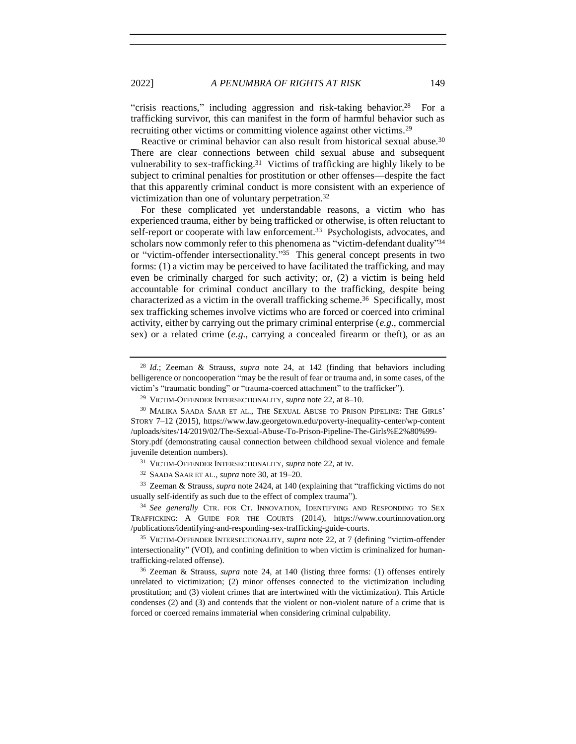"crisis reactions," including aggression and risk-taking behavior.<sup>28</sup> For a trafficking survivor, this can manifest in the form of harmful behavior such as recruiting other victims or committing violence against other victims.<sup>29</sup>

<span id="page-6-0"></span>Reactive or criminal behavior can also result from historical sexual abuse.<sup>30</sup> There are clear connections between child sexual abuse and subsequent vulnerability to sex-trafficking.<sup>31</sup> Victims of trafficking are highly likely to be subject to criminal penalties for prostitution or other offenses—despite the fact that this apparently criminal conduct is more consistent with an experience of victimization than one of voluntary perpetration.<sup>32</sup>

For these complicated yet understandable reasons, a victim who has experienced trauma, either by being trafficked or otherwise, is often reluctant to self-report or cooperate with law enforcement.<sup>33</sup> Psychologists, advocates, and scholars now commonly refer to this phenomena as "victim-defendant duality"<sup>34</sup> or "victim-offender intersectionality." 35 This general concept presents in two forms: (1) a victim may be perceived to have facilitated the trafficking, and may even be criminally charged for such activity; or, (2) a victim is being held accountable for criminal conduct ancillary to the trafficking, despite being characterized as a victim in the overall trafficking scheme.<sup>36</sup> Specifically, most sex trafficking schemes involve victims who are forced or coerced into criminal activity, either by carrying out the primary criminal enterprise (*e.g*., commercial sex) or a related crime (*e.g*., carrying a concealed firearm or theft), or as an

<sup>33</sup> Zeeman & Strauss, *supra* note [2424,](#page-5-1) at 140 (explaining that "trafficking victims do not usually self-identify as such due to the effect of complex trauma").

<sup>34</sup> See generally CTR. FOR CT. INNOVATION, IDENTIFYING AND RESPONDING TO SEX TRAFFICKING: A GUIDE FOR THE COURTS (2014), https://www.courtinnovation.org /publications/identifying-and-responding-sex-trafficking-guide-courts.

<sup>35</sup> VICTIM-OFFENDER INTERSECTIONALITY, *supra* note [22,](#page-5-0) at 7 (defining "victim-offender intersectionality" (VOI), and confining definition to when victim is criminalized for humantrafficking-related offense).

<sup>36</sup> Zeeman & Strauss, *supra* note [24,](#page-5-1) at 140 (listing three forms: (1) offenses entirely unrelated to victimization; (2) minor offenses connected to the victimization including prostitution; and (3) violent crimes that are intertwined with the victimization). This Article condenses (2) and (3) and contends that the violent or non-violent nature of a crime that is forced or coerced remains immaterial when considering criminal culpability.

<sup>28</sup> *Id*.; Zeeman & Strauss, *supra* note [24,](#page-5-1) at 142 (finding that behaviors including belligerence or noncooperation "may be the result of fear or trauma and, in some cases, of the victim's "traumatic bonding" or "trauma-coerced attachment" to the trafficker").

<sup>29</sup> VICTIM-OFFENDER INTERSECTIONALITY, *supra* not[e 22,](#page-5-0) at 8–10.

<sup>30</sup> MALIKA SAADA SAAR ET AL., THE SEXUAL ABUSE TO PRISON PIPELINE: THE GIRLS' STORY 7–12 (2015), https://www.law.georgetown.edu/poverty-inequality-center/wp-content /uploads/sites/14/2019/02/The-Sexual-Abuse-To-Prison-Pipeline-The-Girls%E2%80%99- Story.pdf (demonstrating causal connection between childhood sexual violence and female juvenile detention numbers).

<sup>31</sup> VICTIM-OFFENDER INTERSECTIONALITY, *supra* not[e 22,](#page-5-0) at iv.

<sup>32</sup> SAADA SAAR ET AL., *supra* not[e 30,](#page-6-0) at 19–20.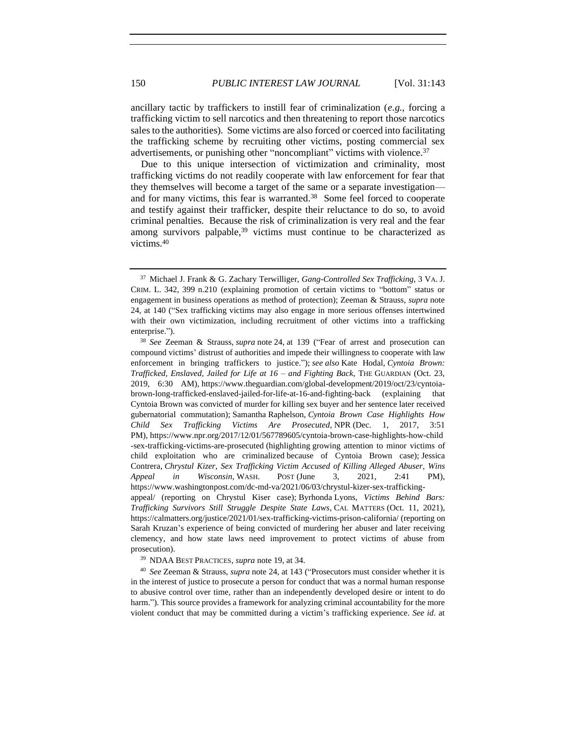ancillary tactic by traffickers to instill fear of criminalization (*e.g.,* forcing a trafficking victim to sell narcotics and then threatening to report those narcotics sales to the authorities). Some victims are also forced or coerced into facilitating the trafficking scheme by recruiting other victims, posting commercial sex advertisements, or punishing other "noncompliant" victims with violence.<sup>37</sup>

Due to this unique intersection of victimization and criminality, most trafficking victims do not readily cooperate with law enforcement for fear that they themselves will become a target of the same or a separate investigation and for many victims, this fear is warranted.<sup>38</sup> Some feel forced to cooperate and testify against their trafficker, despite their reluctance to do so, to avoid criminal penalties. Because the risk of criminalization is very real and the fear among survivors palpable,<sup>39</sup> victims must continue to be characterized as victims.<sup>40</sup>

<sup>39</sup> NDAA BEST PRACTICES, *supra* note [19,](#page-4-0) at 34.

<sup>40</sup> *See* Zeeman & Strauss, *supra* note [24,](#page-5-1) at 143 ("Prosecutors must consider whether it is in the interest of justice to prosecute a person for conduct that was a normal human response to abusive control over time, rather than an independently developed desire or intent to do harm."). This source provides a framework for analyzing criminal accountability for the more violent conduct that may be committed during a victim's trafficking experience. *See id*. at

<sup>37</sup> Michael J. Frank & G. Zachary Terwilliger, *Gang-Controlled Sex Trafficking*, 3 VA. J. CRIM. L. 342, 399 n.210 (explaining promotion of certain victims to "bottom" status or engagement in business operations as method of protection); Zeeman & Strauss, *supra* note [24,](#page-5-1) at 140 ("Sex trafficking victims may also engage in more serious offenses intertwined with their own victimization, including recruitment of other victims into a trafficking enterprise.").

<sup>38</sup> *See* Zeeman & Strauss, *supra* note [24,](#page-5-1) at 139 ("Fear of arrest and prosecution can compound victims' distrust of authorities and impede their willingness to cooperate with law enforcement in bringing traffickers to justice."); *see also* Kate Hodal, *Cyntoia Brown: Trafficked, Enslaved, Jailed for Life at 16 – and Fighting Back*, THE GUARDIAN (Oct. 23, 2019, 6:30 AM), https://www.theguardian.com/global-development/2019/oct/23/cyntoiabrown-long-trafficked-enslaved-jailed-for-life-at-16-and-fighting-back (explaining that Cyntoia Brown was convicted of murder for killing sex buyer and her sentence later received gubernatorial commutation); Samantha Raphelson, *Cyntoia Brown Case Highlights How Child Sex Trafficking Victims Are Prosecuted*, NPR (Dec. 1, 2017, 3:51 PM), https://www.npr.org/2017/12/01/567789605/cyntoia-brown-case-highlights-how-child -sex-trafficking-victims-are-prosecuted (highlighting growing attention to minor victims of child exploitation who are criminalized because of Cyntoia Brown case); Jessica Contrera, *Chrystul Kizer, Sex Trafficking Victim Accused of Killing Alleged Abuser, Wins Appeal in Wisconsin*, WASH. POST (June 3, 2021, 2:41 PM), https://www.washingtonpost.com/dc-md-va/2021/06/03/chrystul-kizer-sex-traffickingappeal/ (reporting on Chrystul Kiser case); Byrhonda Lyons, *Victims Behind Bars: Trafficking Survivors Still Struggle Despite State Laws*, CAL MATTERS (Oct. 11, 2021), https://calmatters.org/justice/2021/01/sex-trafficking-victims-prison-california/ (reporting on Sarah Kruzan's experience of being convicted of murdering her abuser and later receiving clemency, and how state laws need improvement to protect victims of abuse from prosecution).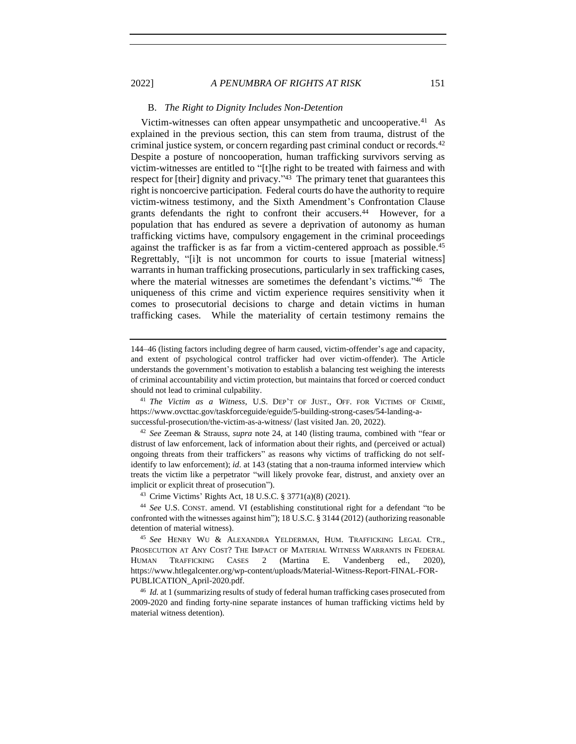### 2022] *A PENUMBRA OF RIGHTS AT RISK* 151

### B. *The Right to Dignity Includes Non-Detention*

Victim-witnesses can often appear unsympathetic and uncooperative.<sup>41</sup> As explained in the previous section, this can stem from trauma, distrust of the criminal justice system, or concern regarding past criminal conduct or records.<sup>42</sup> Despite a posture of noncooperation, human trafficking survivors serving as victim-witnesses are entitled to "[t]he right to be treated with fairness and with respect for [their] dignity and privacy."<sup>43</sup> The primary tenet that guarantees this right is noncoercive participation. Federal courts do have the authority to require victim-witness testimony, and the Sixth Amendment's Confrontation Clause grants defendants the right to confront their accusers.<sup>44</sup> However, for a population that has endured as severe a deprivation of autonomy as human trafficking victims have, compulsory engagement in the criminal proceedings against the trafficker is as far from a victim-centered approach as possible.<sup>45</sup> Regrettably, "[i]t is not uncommon for courts to issue [material witness] warrants in human trafficking prosecutions, particularly in sex trafficking cases, where the material witnesses are sometimes the defendant's victims."<sup>46</sup> The uniqueness of this crime and victim experience requires sensitivity when it comes to prosecutorial decisions to charge and detain victims in human trafficking cases. While the materiality of certain testimony remains the

<sup>42</sup> *See* Zeeman & Strauss, *supra* note [24,](#page-5-1) at 140 (listing trauma, combined with "fear or distrust of law enforcement, lack of information about their rights, and (perceived or actual) ongoing threats from their traffickers" as reasons why victims of trafficking do not selfidentify to law enforcement); *id.* at 143 (stating that a non-trauma informed interview which treats the victim like a perpetrator "will likely provoke fear, distrust, and anxiety over an implicit or explicit threat of prosecution").

<sup>43</sup> Crime Victims' Rights Act, 18 U.S.C. § 3771(a)(8) (2021).

<sup>44</sup> *See* U.S. CONST. amend. VI (establishing constitutional right for a defendant "to be confronted with the witnesses against him"); 18 U.S.C. § 3144 (2012) (authorizing reasonable detention of material witness).

<span id="page-8-0"></span>

<sup>144–46 (</sup>listing factors including degree of harm caused, victim-offender's age and capacity, and extent of psychological control trafficker had over victim-offender). The Article understands the government's motivation to establish a balancing test weighing the interests of criminal accountability and victim protection, but maintains that forced or coerced conduct should not lead to criminal culpability.

<sup>41</sup> *The Victim as a Witness*, U.S. DEP'T OF JUST., OFF. FOR VICTIMS OF CRIME, https://www.ovcttac.gov/taskforceguide/eguide/5-building-strong-cases/54-landing-asuccessful-prosecution/the-victim-as-a-witness/ (last visited Jan. 20, 2022).

<sup>45</sup> *See* HENRY WU & ALEXANDRA YELDERMAN, HUM. TRAFFICKING LEGAL CTR., PROSECUTION AT ANY COST? THE IMPACT OF MATERIAL WITNESS WARRANTS IN FEDERAL HUMAN TRAFFICKING CASES 2 (Martina E. Vandenberg ed., 2020), https://www.htlegalcenter.org/wp-content/uploads/Material-Witness-Report-FINAL-FOR-PUBLICATION\_April-2020.pdf.

<sup>46</sup> *Id.* at 1 (summarizing results of study of federal human trafficking cases prosecuted from 2009-2020 and finding forty-nine separate instances of human trafficking victims held by material witness detention).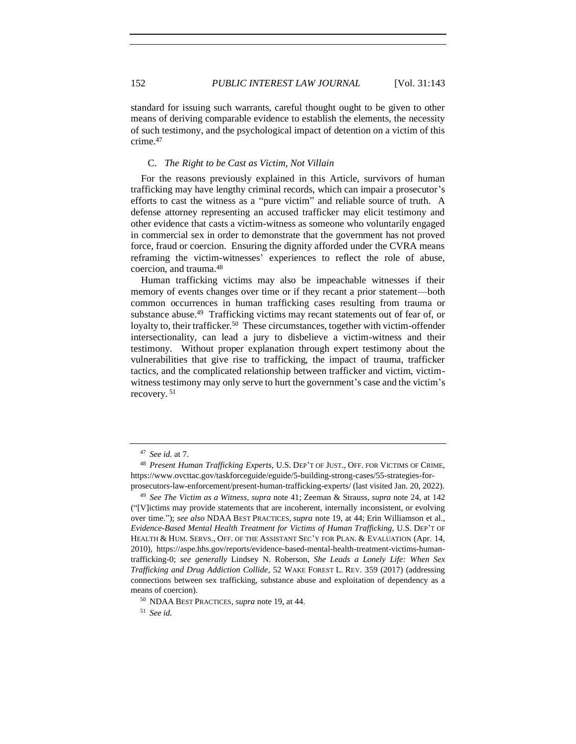standard for issuing such warrants, careful thought ought to be given to other means of deriving comparable evidence to establish the elements, the necessity of such testimony, and the psychological impact of detention on a victim of this crime.<sup>47</sup>

#### C. *The Right to be Cast as Victim, Not Villain*

For the reasons previously explained in this Article, survivors of human trafficking may have lengthy criminal records, which can impair a prosecutor's efforts to cast the witness as a "pure victim" and reliable source of truth. A defense attorney representing an accused trafficker may elicit testimony and other evidence that casts a victim-witness as someone who voluntarily engaged in commercial sex in order to demonstrate that the government has not proved force, fraud or coercion. Ensuring the dignity afforded under the CVRA means reframing the victim-witnesses' experiences to reflect the role of abuse, coercion, and trauma.<sup>48</sup>

Human trafficking victims may also be impeachable witnesses if their memory of events changes over time or if they recant a prior statement—both common occurrences in human trafficking cases resulting from trauma or substance abuse.<sup>49</sup> Trafficking victims may recant statements out of fear of, or loyalty to, their trafficker.<sup>50</sup> These circumstances, together with victim-offender intersectionality, can lead a jury to disbelieve a victim-witness and their testimony. Without proper explanation through expert testimony about the vulnerabilities that give rise to trafficking, the impact of trauma, trafficker tactics, and the complicated relationship between trafficker and victim, victimwitness testimony may only serve to hurt the government's case and the victim's recovery. <sup>51</sup>

<sup>47</sup> *See id.* at 7.

<sup>48</sup> *Present Human Trafficking Experts*, U.S. DEP'T OF JUST., OFF. FOR VICTIMS OF CRIME, https://www.ovcttac.gov/taskforceguide/eguide/5-building-strong-cases/55-strategies-forprosecutors-law-enforcement/present-human-trafficking-experts/ (last visited Jan. 20, 2022).

<sup>49</sup> *See The Victim as a Witness*, *supra* not[e 41;](#page-8-0) Zeeman & Strauss, *supra* note [24,](#page-5-1) at 142 ("[V]ictims may provide statements that are incoherent, internally inconsistent, or evolving over time."); *see also* NDAA BEST PRACTICES, *supra* note [19,](#page-4-0) at 44; Erin Williamson et al., *Evidence-Based Mental Health Treatment for Victims of Human Trafficking*, U.S. DEP'T OF HEALTH & HUM. SERVS., OFF. OF THE ASSISTANT SEC'Y FOR PLAN. & EVALUATION (Apr. 14, 2010), https://aspe.hhs.gov/reports/evidence-based-mental-health-treatment-victims-humantrafficking-0; *see generally* Lindsey N. Roberson, *She Leads a Lonely Life: When Sex Trafficking and Drug Addiction Collide*, 52 WAKE FOREST L. REV. 359 (2017) (addressing connections between sex trafficking, substance abuse and exploitation of dependency as a means of coercion).

<sup>50</sup> NDAA BEST PRACTICES, *supra* note [19,](#page-4-0) at 44.

<sup>51</sup> *See id.*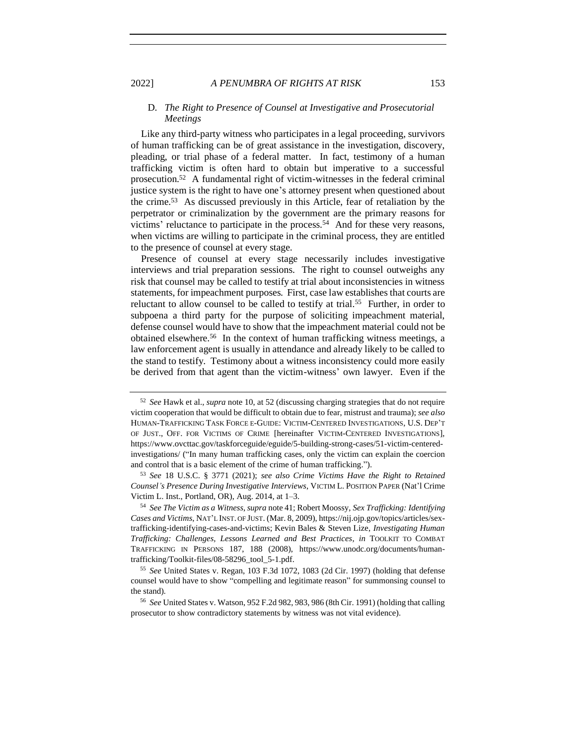### D. *The Right to Presence of Counsel at Investigative and Prosecutorial Meetings*

<span id="page-10-0"></span>Like any third-party witness who participates in a legal proceeding, survivors of human trafficking can be of great assistance in the investigation, discovery, pleading, or trial phase of a federal matter. In fact, testimony of a human trafficking victim is often hard to obtain but imperative to a successful prosecution.<sup>52</sup> A fundamental right of victim-witnesses in the federal criminal justice system is the right to have one's attorney present when questioned about the crime.<sup>53</sup> As discussed previously in this Article, fear of retaliation by the perpetrator or criminalization by the government are the primary reasons for victims' reluctance to participate in the process.<sup>54</sup> And for these very reasons, when victims are willing to participate in the criminal process, they are entitled to the presence of counsel at every stage.

Presence of counsel at every stage necessarily includes investigative interviews and trial preparation sessions. The right to counsel outweighs any risk that counsel may be called to testify at trial about inconsistencies in witness statements, for impeachment purposes. First, case law establishes that courts are reluctant to allow counsel to be called to testify at trial*.* 55 Further, in order to subpoena a third party for the purpose of soliciting impeachment material, defense counsel would have to show that the impeachment material could not be obtained elsewhere.<sup>56</sup> In the context of human trafficking witness meetings, a law enforcement agent is usually in attendance and already likely to be called to the stand to testify. Testimony about a witness inconsistency could more easily be derived from that agent than the victim-witness' own lawyer. Even if the

<sup>52</sup> *See* Hawk et al., *supra* note [10,](#page-2-0) at 52 (discussing charging strategies that do not require victim cooperation that would be difficult to obtain due to fear, mistrust and trauma); *see also* HUMAN-TRAFFICKING TASK FORCE E-GUIDE: VICTIM-CENTERED INVESTIGATIONS, U.S. DEP'T OF JUST., OFF. FOR VICTIMS OF CRIME [hereinafter VICTIM-CENTERED INVESTIGATIONS], https://www.ovcttac.gov/taskforceguide/eguide/5-building-strong-cases/51-victim-centeredinvestigations/ ("In many human trafficking cases, only the victim can explain the coercion and control that is a basic element of the crime of human trafficking.").

<sup>53</sup> *See* 18 U.S.C. § 3771 (2021); *see also Crime Victims Have the Right to Retained Counsel's Presence During Investigative Interviews*, VICTIM L. POSITION PAPER (Nat'l Crime Victim L. Inst., Portland, OR), Aug. 2014, at 1–3.

<sup>54</sup> *See The Victim as a Witness*, *supra* note [41;](#page-8-0) Robert Moossy, *Sex Trafficking: Identifying Cases and Victims*, NAT'L INST. OF JUST. (Mar. 8, 2009), https://nij.ojp.gov/topics/articles/sextrafficking-identifying-cases-and-victims; Kevin Bales & Steven Lize, *Investigating Human Trafficking: Challenges, Lessons Learned and Best Practices*, *in* TOOLKIT TO COMBAT TRAFFICKING IN PERSONS 187, 188 (2008), https://www.unodc.org/documents/humantrafficking/Toolkit-files/08-58296\_tool\_5-1.pdf.

<sup>55</sup> *See* United States v. Regan, 103 F.3d 1072, 1083 (2d Cir. 1997) (holding that defense counsel would have to show "compelling and legitimate reason" for summonsing counsel to the stand)*.*

<sup>56</sup> *See* United States v. Watson, 952 F.2d 982, 983, 986 (8th Cir. 1991) (holding that calling prosecutor to show contradictory statements by witness was not vital evidence).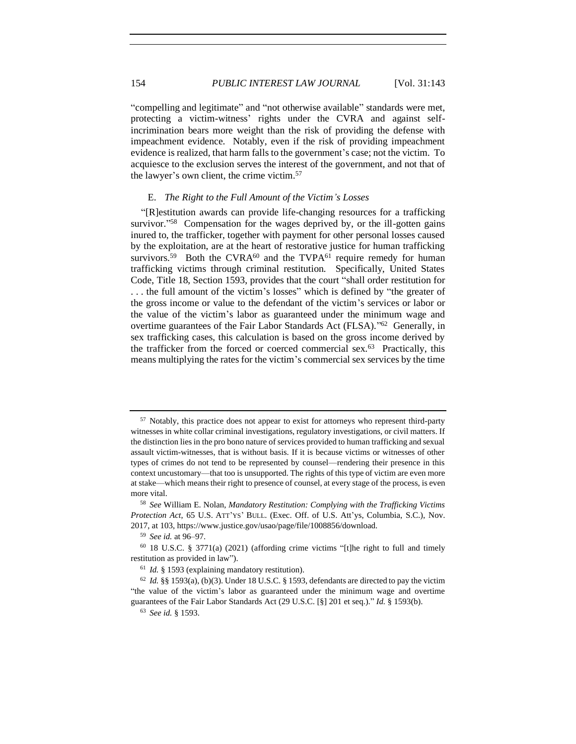"compelling and legitimate" and "not otherwise available" standards were met, protecting a victim-witness' rights under the CVRA and against selfincrimination bears more weight than the risk of providing the defense with impeachment evidence. Notably, even if the risk of providing impeachment evidence is realized, that harm falls to the government's case; not the victim. To acquiesce to the exclusion serves the interest of the government, and not that of the lawyer's own client, the crime victim.<sup>57</sup>

### <span id="page-11-0"></span>E. *The Right to the Full Amount of the Victim's Losses*

"[R]estitution awards can provide life-changing resources for a trafficking survivor."<sup>58</sup> Compensation for the wages deprived by, or the ill-gotten gains inured to, the trafficker, together with payment for other personal losses caused by the exploitation, are at the heart of restorative justice for human trafficking survivors.<sup>59</sup> Both the CVRA $^{60}$  and the TVPA $^{61}$  require remedy for human trafficking victims through criminal restitution. Specifically, United States Code, Title 18, Section 1593, provides that the court "shall order restitution for . . . the full amount of the victim's losses" which is defined by "the greater of the gross income or value to the defendant of the victim's services or labor or the value of the victim's labor as guaranteed under the minimum wage and overtime guarantees of the Fair Labor Standards Act (FLSA)."<sup>62</sup> Generally, in sex trafficking cases, this calculation is based on the gross income derived by the trafficker from the forced or coerced commercial sex.<sup>63</sup> Practically, this means multiplying the rates for the victim's commercial sex services by the time

<sup>&</sup>lt;sup>57</sup> Notably, this practice does not appear to exist for attorneys who represent third-party witnesses in white collar criminal investigations, regulatory investigations, or civil matters. If the distinction lies in the pro bono nature of services provided to human trafficking and sexual assault victim-witnesses, that is without basis. If it is because victims or witnesses of other types of crimes do not tend to be represented by counsel—rendering their presence in this context uncustomary—that too is unsupported. The rights of this type of victim are even more at stake—which means their right to presence of counsel, at every stage of the process, is even more vital.

<sup>58</sup> *See* William E. Nolan, *Mandatory Restitution: Complying with the Trafficking Victims Protection Act*, 65 U.S. ATT'YS' BULL. (Exec. Off. of U.S. Att'ys, Columbia, S.C.), Nov. 2017, at 103, https://www.justice.gov/usao/page/file/1008856/download.

<sup>59</sup> *See id.* at 96–97.

<sup>60</sup> 18 U.S.C. § 3771(a) (2021) (affording crime victims "[t]he right to full and timely restitution as provided in law").

<sup>61</sup> *Id.* § 1593 (explaining mandatory restitution).

 $62$  *Id.* §§ 1593(a), (b)(3). Under 18 U.S.C. § 1593, defendants are directed to pay the victim "the value of the victim's labor as guaranteed under the minimum wage and overtime guarantees of the Fair Labor Standards Act (29 U.S.C. [§] 201 et seq.)." *Id.* § 1593(b).

<sup>63</sup> *See id.* § 1593.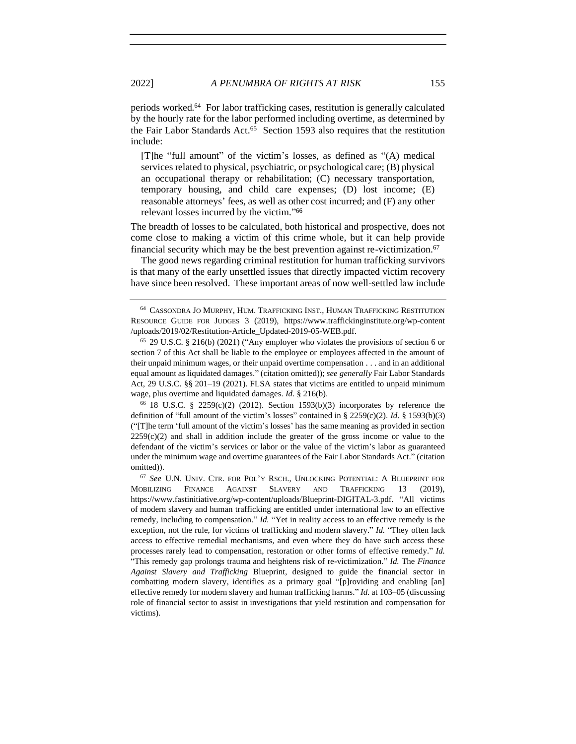periods worked.<sup>64</sup> For labor trafficking cases, restitution is generally calculated by the hourly rate for the labor performed including overtime, as determined by the Fair Labor Standards Act.<sup>65</sup> Section 1593 also requires that the restitution include:

[T]he "full amount" of the victim's losses, as defined as "(A) medical services related to physical, psychiatric, or psychological care; (B) physical an occupational therapy or rehabilitation; (C) necessary transportation, temporary housing, and child care expenses; (D) lost income; (E) reasonable attorneys' fees, as well as other cost incurred; and (F) any other relevant losses incurred by the victim." 66

The breadth of losses to be calculated, both historical and prospective, does not come close to making a victim of this crime whole, but it can help provide financial security which may be the best prevention against re-victimization.<sup>67</sup>

The good news regarding criminal restitution for human trafficking survivors is that many of the early unsettled issues that directly impacted victim recovery have since been resolved. These important areas of now well-settled law include

<sup>66</sup> 18 U.S.C. § 2259(c)(2) (2012). Section 1593(b)(3) incorporates by reference the definition of "full amount of the victim's losses" contained in § 2259(c)(2). *Id*. § 1593(b)(3) ("[T]he term 'full amount of the victim's losses' has the same meaning as provided in section  $2259(c)(2)$  and shall in addition include the greater of the gross income or value to the defendant of the victim's services or labor or the value of the victim's labor as guaranteed under the minimum wage and overtime guarantees of the Fair Labor Standards Act." (citation omitted)).

<sup>67</sup> *See* U.N. UNIV. CTR. FOR POL'Y RSCH., UNLOCKING POTENTIAL: A BLUEPRINT FOR MOBILIZING FINANCE AGAINST SLAVERY AND TRAFFICKING 13 (2019), https://www.fastinitiative.org/wp-content/uploads/Blueprint-DIGITAL-3.pdf. "All victims of modern slavery and human trafficking are entitled under international law to an effective remedy, including to compensation." *Id.* "Yet in reality access to an effective remedy is the exception, not the rule, for victims of trafficking and modern slavery." *Id.* "They often lack access to effective remedial mechanisms, and even where they do have such access these processes rarely lead to compensation, restoration or other forms of effective remedy." *Id.* "This remedy gap prolongs trauma and heightens risk of re-victimization." *Id.* The *Finance Against Slavery and Trafficking* Blueprint, designed to guide the financial sector in combatting modern slavery, identifies as a primary goal "[p]roviding and enabling [an] effective remedy for modern slavery and human trafficking harms." *Id.* at 103–05 (discussing role of financial sector to assist in investigations that yield restitution and compensation for victims).

<sup>64</sup> CASSONDRA JO MURPHY, HUM. TRAFFICKING INST., HUMAN TRAFFICKING RESTITUTION RESOURCE GUIDE FOR JUDGES 3 (2019), https://www.traffickinginstitute.org/wp-content /uploads/2019/02/Restitution-Article\_Updated-2019-05-WEB.pdf.

<sup>65</sup> 29 U.S.C. § 216(b) (2021) ("Any employer who violates the provisions of section 6 or section 7 of this Act shall be liable to the employee or employees affected in the amount of their unpaid minimum wages, or their unpaid overtime compensation . . . and in an additional equal amount as liquidated damages." (citation omitted)); *see generally* Fair Labor Standards Act, 29 U.S.C. §§ 201–19 (2021). FLSA states that victims are entitled to unpaid minimum wage, plus overtime and liquidated damages. *Id.* § 216(b).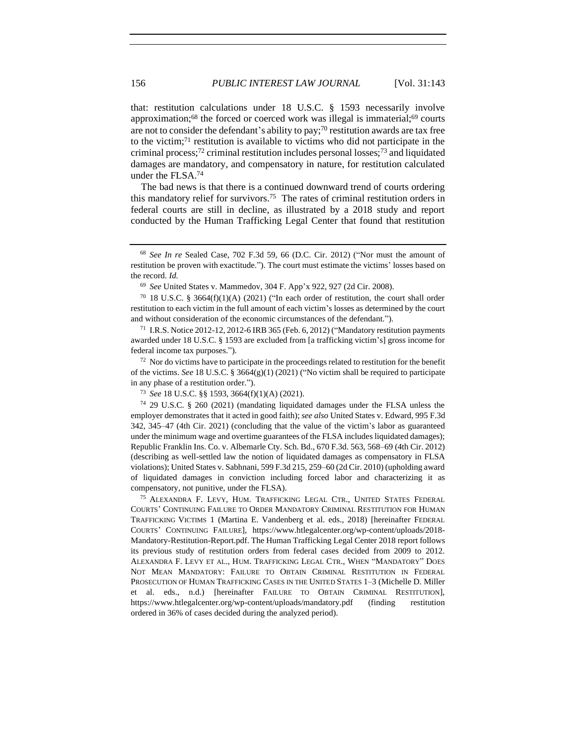that: restitution calculations under 18 U.S.C. § 1593 necessarily involve approximation;<sup>68</sup> the forced or coerced work was illegal is immaterial;<sup>69</sup> courts are not to consider the defendant's ability to pay;<sup>70</sup> restitution awards are tax free to the victim;<sup>71</sup> restitution is available to victims who did not participate in the criminal process;<sup>72</sup> criminal restitution includes personal losses;<sup>73</sup> and liquidated damages are mandatory, and compensatory in nature, for restitution calculated under the FLSA.<sup>74</sup>

<span id="page-13-0"></span>The bad news is that there is a continued downward trend of courts ordering this mandatory relief for survivors.<sup>75</sup> The rates of criminal restitution orders in federal courts are still in decline, as illustrated by a 2018 study and report conducted by the Human Trafficking Legal Center that found that restitution

 $72$  Nor do victims have to participate in the proceedings related to restitution for the benefit of the victims. *See* 18 U.S.C. § 3664(g)(1) (2021) ("No victim shall be required to participate in any phase of a restitution order.").

<sup>73</sup> *See* 18 U.S.C. §§ 1593, 3664(f)(1)(A) (2021).

<sup>75</sup> ALEXANDRA F. LEVY, HUM. TRAFFICKING LEGAL CTR., UNITED STATES FEDERAL COURTS' CONTINUING FAILURE TO ORDER MANDATORY CRIMINAL RESTITUTION FOR HUMAN TRAFFICKING VICTIMS 1 (Martina E. Vandenberg et al. eds., 2018) [hereinafter FEDERAL COURTS' CONTINUING FAILURE], https://www.htlegalcenter.org/wp-content/uploads/2018- Mandatory-Restitution-Report.pdf. The Human Trafficking Legal Center 2018 report follows its previous study of restitution orders from federal cases decided from 2009 to 2012. ALEXANDRA F. LEVY ET AL., HUM. TRAFFICKING LEGAL CTR., WHEN "MANDATORY" DOES NOT MEAN MANDATORY: FAILURE TO OBTAIN CRIMINAL RESTITUTION IN FEDERAL PROSECUTION OF HUMAN TRAFFICKING CASES IN THE UNITED STATES 1–3 (Michelle D. Miller et al. eds., n.d.) [hereinafter FAILURE TO OBTAIN CRIMINAL RESTITUTION], https://www.htlegalcenter.org/wp-content/uploads/mandatory.pdf (finding restitution ordered in 36% of cases decided during the analyzed period).

<sup>68</sup> *See In re* Sealed Case, 702 F.3d 59, 66 (D.C. Cir. 2012) ("Nor must the amount of restitution be proven with exactitude."). The court must estimate the victims' losses based on the record. *Id.*

<sup>69</sup> *See* United States v. Mammedov, 304 F. App'x 922, 927 (2d Cir. 2008).

<sup>&</sup>lt;sup>70</sup> 18 U.S.C. § 3664(f)(1)(A) (2021) ("In each order of restitution, the court shall order restitution to each victim in the full amount of each victim's losses as determined by the court and without consideration of the economic circumstances of the defendant.").

 $71$  I.R.S. Notice 2012-12, 2012-6 IRB 365 (Feb. 6, 2012) ("Mandatory restitution payments awarded under 18 U.S.C. § 1593 are excluded from [a trafficking victim's] gross income for federal income tax purposes.").

<sup>74</sup> 29 U.S.C. § 260 (2021) (mandating liquidated damages under the FLSA unless the employer demonstrates that it acted in good faith);*see also* United States v. Edward, 995 F.3d 342, 345–47 (4th Cir. 2021) (concluding that the value of the victim's labor as guaranteed under the minimum wage and overtime guarantees of the FLSA includes liquidated damages); Republic Franklin Ins. Co. v. Albemarle Cty. Sch. Bd., 670 F.3d. 563, 568–69 (4th Cir. 2012) (describing as well-settled law the notion of liquidated damages as compensatory in FLSA violations); United States v. Sabhnani, 599 F.3d 215, 259–60 (2d Cir. 2010) (upholding award of liquidated damages in conviction including forced labor and characterizing it as compensatory, not punitive, under the FLSA).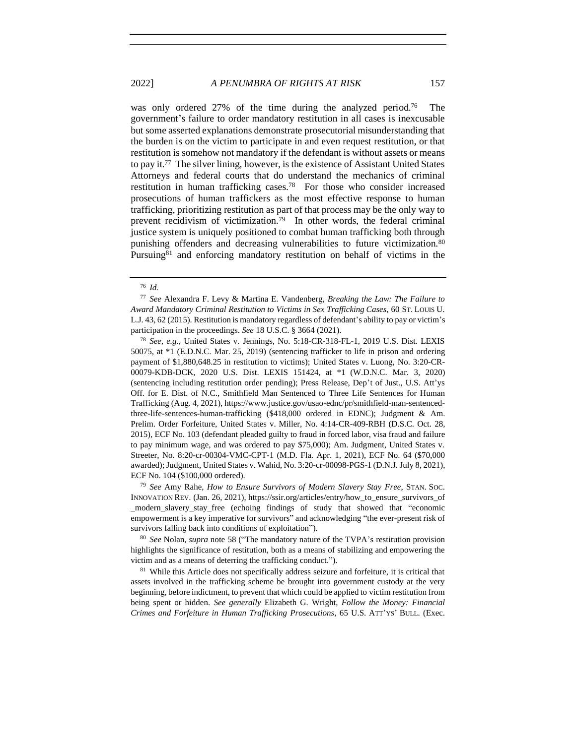<span id="page-14-1"></span>was only ordered 27% of the time during the analyzed period.<sup>76</sup> The government's failure to order mandatory restitution in all cases is inexcusable but some asserted explanations demonstrate prosecutorial misunderstanding that the burden is on the victim to participate in and even request restitution, or that restitution is somehow not mandatory if the defendant is without assets or means to pay it.<sup>77</sup> The silver lining, however, is the existence of Assistant United States Attorneys and federal courts that do understand the mechanics of criminal restitution in human trafficking cases.<sup>78</sup> For those who consider increased prosecutions of human traffickers as the most effective response to human trafficking, prioritizing restitution as part of that process may be the only way to prevent recidivism of victimization.<sup>79</sup> In other words, the federal criminal justice system is uniquely positioned to combat human trafficking both through punishing offenders and decreasing vulnerabilities to future victimization.<sup>80</sup> Pursuing<sup>81</sup> and enforcing mandatory restitution on behalf of victims in the

<sup>79</sup> *See* Amy Rahe, *How to Ensure Survivors of Modern Slavery Stay Free*, STAN. SOC. INNOVATION REV. (Jan. 26, 2021), https://ssir.org/articles/entry/how\_to\_ensure\_survivors\_of \_modern\_slavery\_stay\_free (echoing findings of study that showed that "economic empowerment is a key imperative for survivors" and acknowledging "the ever-present risk of survivors falling back into conditions of exploitation").

<sup>80</sup> *See* Nolan, *supra* note [58](#page-11-0) ("The mandatory nature of the TVPA's restitution provision highlights the significance of restitution, both as a means of stabilizing and empowering the victim and as a means of deterring the trafficking conduct.").

<sup>81</sup> While this Article does not specifically address seizure and forfeiture, it is critical that assets involved in the trafficking scheme be brought into government custody at the very beginning, before indictment, to prevent that which could be applied to victim restitution from being spent or hidden. *See generally* Elizabeth G. Wright, *Follow the Money: Financial Crimes and Forfeiture in Human Trafficking Prosecutions*, 65 U.S. ATT'YS' BULL. (Exec.

<span id="page-14-0"></span>

<sup>76</sup> *Id.*

<sup>77</sup> *See* Alexandra F. Levy & Martina E. Vandenberg, *Breaking the Law: The Failure to Award Mandatory Criminal Restitution to Victims in Sex Trafficking Cases*, 60 ST. LOUIS U. L.J. 43, 62 (2015). Restitution is mandatory regardless of defendant's ability to pay or victim's participation in the proceedings. *See* 18 U.S.C. § 3664 (2021).

<sup>78</sup> *See, e.g.*, United States v. Jennings, No. 5:18-CR-318-FL-1, 2019 U.S. Dist. LEXIS 50075, at \*1 (E.D.N.C. Mar. 25, 2019) (sentencing trafficker to life in prison and ordering payment of \$1,880,648.25 in restitution to victims); United States v. Luong, No. 3:20-CR-00079-KDB-DCK, 2020 U.S. Dist. LEXIS 151424, at \*1 (W.D.N.C. Mar. 3, 2020) (sentencing including restitution order pending); Press Release, Dep't of Just., U.S. Att'ys Off. for E. Dist. of N.C., Smithfield Man Sentenced to Three Life Sentences for Human Trafficking (Aug. 4, 2021), https://www.justice.gov/usao-ednc/pr/smithfield-man-sentencedthree-life-sentences-human-trafficking (\$418,000 ordered in EDNC); Judgment & Am. Prelim. Order Forfeiture, United States v. Miller, No. 4:14-CR-409-RBH (D.S.C. Oct. 28, 2015), ECF No. 103 (defendant pleaded guilty to fraud in forced labor, visa fraud and failure to pay minimum wage, and was ordered to pay \$75,000); Am. Judgment, United States v. Streeter, No. 8:20-cr-00304-VMC-CPT-1 (M.D. Fla. Apr. 1, 2021), ECF No. 64 (\$70,000 awarded); Judgment, United States v. Wahid, No. 3:20-cr-00098-PGS-1 (D.N.J. July 8, 2021), ECF No. 104 (\$100,000 ordered).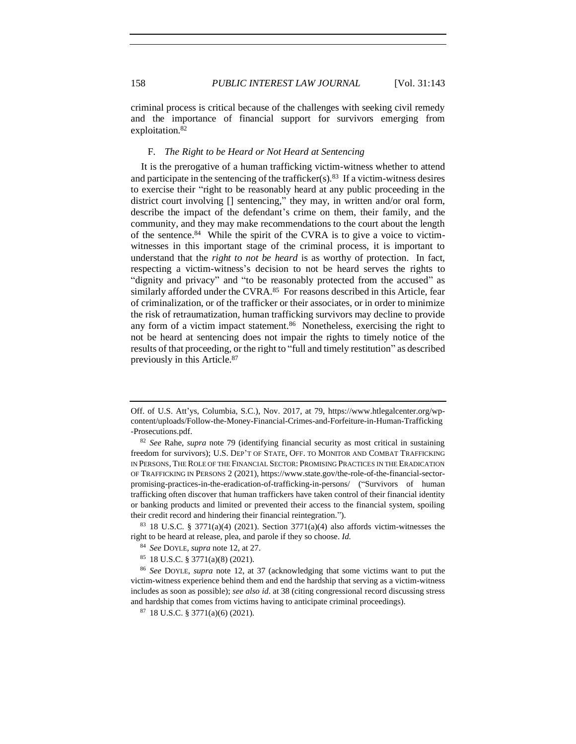criminal process is critical because of the challenges with seeking civil remedy and the importance of financial support for survivors emerging from exploitation.<sup>82</sup>

#### F. *The Right to be Heard or Not Heard at Sentencing*

It is the prerogative of a human trafficking victim-witness whether to attend and participate in the sentencing of the trafficker(s).  $83$  If a victim-witness desires to exercise their "right to be reasonably heard at any public proceeding in the district court involving [] sentencing," they may, in written and/or oral form, describe the impact of the defendant's crime on them, their family, and the community, and they may make recommendations to the court about the length of the sentence.<sup>84</sup> While the spirit of the CVRA is to give a voice to victimwitnesses in this important stage of the criminal process, it is important to understand that the *right to not be heard* is as worthy of protection. In fact, respecting a victim-witness's decision to not be heard serves the rights to "dignity and privacy" and "to be reasonably protected from the accused" as similarly afforded under the CVRA.<sup>85</sup> For reasons described in this Article, fear of criminalization, or of the trafficker or their associates, or in order to minimize the risk of retraumatization, human trafficking survivors may decline to provide any form of a victim impact statement.<sup>86</sup> Nonetheless, exercising the right to not be heard at sentencing does not impair the rights to timely notice of the results of that proceeding, or the right to "full and timely restitution" as described previously in this Article.<sup>87</sup>

<sup>85</sup> 18 U.S.C. § 3771(a)(8) (2021).

Off. of U.S. Att'ys, Columbia, S.C.), Nov. 2017, at 79, https://www.htlegalcenter.org/wpcontent/uploads/Follow-the-Money-Financial-Crimes-and-Forfeiture-in-Human-Trafficking -Prosecutions.pdf.

<sup>82</sup> *See* Rahe, *supra* note [79](#page-14-0) (identifying financial security as most critical in sustaining freedom for survivors); U.S. DEP'T OF STATE, OFF. TO MONITOR AND COMBAT TRAFFICKING IN PERSONS, THE ROLE OF THE FINANCIAL SECTOR: PROMISING PRACTICES IN THE ERADICATION OF TRAFFICKING IN PERSONS 2 (2021), https://www.state.gov/the-role-of-the-financial-sectorpromising-practices-in-the-eradication-of-trafficking-in-persons/ ("Survivors of human trafficking often discover that human traffickers have taken control of their financial identity or banking products and limited or prevented their access to the financial system, spoiling their credit record and hindering their financial reintegration.").

 $83$  18 U.S.C. § 3771(a)(4) (2021). Section 3771(a)(4) also affords victim-witnesses the right to be heard at release, plea, and parole if they so choose. *Id.*

<sup>84</sup> *See* DOYLE, *supra* note [12,](#page-3-0) at 27.

<sup>86</sup> *See* DOYLE, *supra* note [12,](#page-3-0) at 37 (acknowledging that some victims want to put the victim-witness experience behind them and end the hardship that serving as a victim-witness includes as soon as possible); *see also id*. at 38 (citing congressional record discussing stress and hardship that comes from victims having to anticipate criminal proceedings).

<sup>87</sup> 18 U.S.C. § 3771(a)(6) (2021).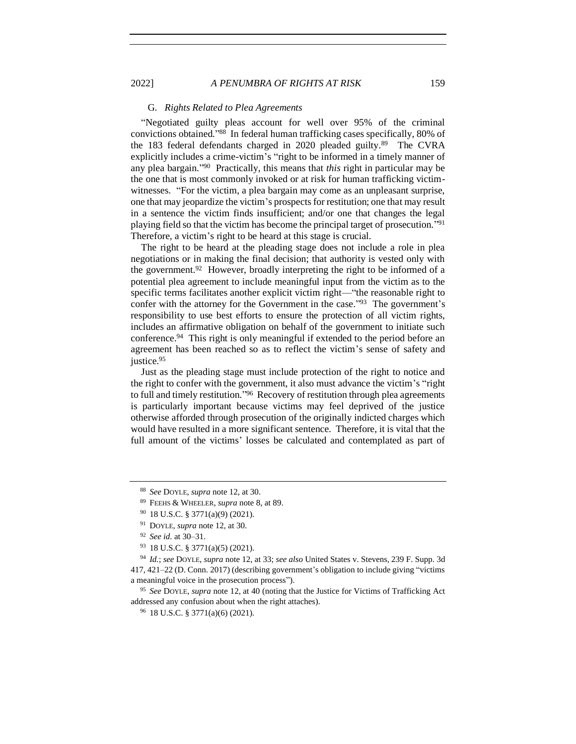### G. *Rights Related to Plea Agreements*

"Negotiated guilty pleas account for well over 95% of the criminal convictions obtained." 88 In federal human trafficking cases specifically, 80% of the 183 federal defendants charged in 2020 pleaded guilty.<sup>89</sup> The CVRA explicitly includes a crime-victim's "right to be informed in a timely manner of any plea bargain." 90 Practically, this means that *this* right in particular may be the one that is most commonly invoked or at risk for human trafficking victimwitnesses. "For the victim, a plea bargain may come as an unpleasant surprise, one that may jeopardize the victim's prospects for restitution; one that may result in a sentence the victim finds insufficient; and/or one that changes the legal playing field so that the victim has become the principal target of prosecution." 91 Therefore, a victim's right to be heard at this stage is crucial.

The right to be heard at the pleading stage does not include a role in plea negotiations or in making the final decision; that authority is vested only with the government.<sup>92</sup> However, broadly interpreting the right to be informed of a potential plea agreement to include meaningful input from the victim as to the specific terms facilitates another explicit victim right—"the reasonable right to confer with the attorney for the Government in the case." 93 The government's responsibility to use best efforts to ensure the protection of all victim rights, includes an affirmative obligation on behalf of the government to initiate such conference.<sup>94</sup> This right is only meaningful if extended to the period before an agreement has been reached so as to reflect the victim's sense of safety and justice.<sup>95</sup>

Just as the pleading stage must include protection of the right to notice and the right to confer with the government, it also must advance the victim's "right to full and timely restitution."<sup>96</sup> Recovery of restitution through plea agreements is particularly important because victims may feel deprived of the justice otherwise afforded through prosecution of the originally indicted charges which would have resulted in a more significant sentence. Therefore, it is vital that the full amount of the victims' losses be calculated and contemplated as part of

<sup>88</sup> *See* DOYLE, *supra* note [12,](#page-3-0) at 30.

<sup>89</sup> FEEHS & WHEELER, *supra* not[e 8,](#page-2-1) at 89.

<sup>90</sup> 18 U.S.C. § 3771(a)(9) (2021).

<sup>91</sup> DOYLE, *supra* note [12,](#page-3-0) at 30.

<sup>92</sup> *See id*. at 30–31.

<sup>93</sup> 18 U.S.C. § 3771(a)(5) (2021).

<sup>94</sup> *Id.*; *see* DOYLE, *supra* not[e 12,](#page-3-0) at 33; *see also* United States v. Stevens, 239 F. Supp. 3d 417, 421–22 (D. Conn. 2017) (describing government's obligation to include giving "victims a meaningful voice in the prosecution process").

<sup>95</sup> *See* DOYLE, *supra* not[e 12,](#page-3-0) at 40 (noting that the Justice for Victims of Trafficking Act addressed any confusion about when the right attaches).

<sup>96</sup> 18 U.S.C. § 3771(a)(6) (2021).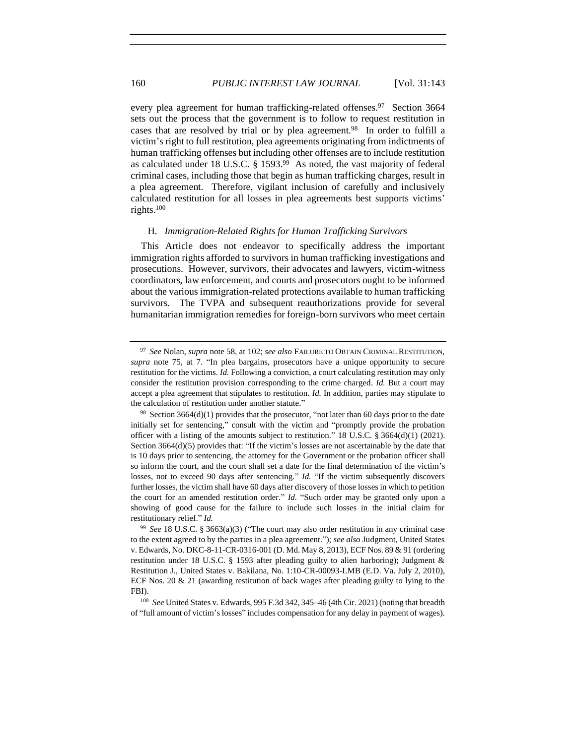every plea agreement for human trafficking-related offenses.<sup>97</sup> Section 3664 sets out the process that the government is to follow to request restitution in cases that are resolved by trial or by plea agreement.<sup>98</sup> In order to fulfill a victim's right to full restitution, plea agreements originating from indictments of human trafficking offenses but including other offenses are to include restitution as calculated under 18 U.S.C. § 1593.99 As noted, the vast majority of federal criminal cases, including those that begin as human trafficking charges, result in a plea agreement. Therefore, vigilant inclusion of carefully and inclusively calculated restitution for all losses in plea agreements best supports victims' rights.<sup>100</sup>

### H. *Immigration-Related Rights for Human Trafficking Survivors*

This Article does not endeavor to specifically address the important immigration rights afforded to survivors in human trafficking investigations and prosecutions. However, survivors, their advocates and lawyers, victim-witness coordinators, law enforcement, and courts and prosecutors ought to be informed about the various immigration-related protections available to human trafficking survivors. The TVPA and subsequent reauthorizations provide for several humanitarian immigration remedies for foreign-born survivors who meet certain

<sup>97</sup> *See* Nolan, *supra* note [58,](#page-11-0) at 102; *see also* FAILURE TO OBTAIN CRIMINAL RESTITUTION, *supra* note [75,](#page-13-0) at 7. "In plea bargains, prosecutors have a unique opportunity to secure restitution for the victims. *Id.* Following a conviction, a court calculating restitution may only consider the restitution provision corresponding to the crime charged. *Id.* But a court may accept a plea agreement that stipulates to restitution. *Id.* In addition, parties may stipulate to the calculation of restitution under another statute."

 $98$  Section 3664(d)(1) provides that the prosecutor, "not later than 60 days prior to the date initially set for sentencing," consult with the victim and "promptly provide the probation officer with a listing of the amounts subject to restitution." 18 U.S.C.  $\S 3664(d)(1)$  (2021). Section 3664(d)(5) provides that: "If the victim's losses are not ascertainable by the date that is 10 days prior to sentencing, the attorney for the Government or the probation officer shall so inform the court, and the court shall set a date for the final determination of the victim's losses, not to exceed 90 days after sentencing." *Id.* "If the victim subsequently discovers further losses, the victim shall have 60 days after discovery of those losses in which to petition the court for an amended restitution order." *Id.* "Such order may be granted only upon a showing of good cause for the failure to include such losses in the initial claim for restitutionary relief." *Id.*

<sup>99</sup> *See* 18 U.S.C. § 3663(a)(3) ("The court may also order restitution in any criminal case to the extent agreed to by the parties in a plea agreement."); *see also* Judgment, United States v. Edwards, No. DKC-8-11-CR-0316-001 (D. Md. May 8, 2013), ECF Nos. 89 & 91 (ordering restitution under 18 U.S.C. § 1593 after pleading guilty to alien harboring); Judgment & Restitution J., United States v. Bakilana, No. 1:10-CR-00093-LMB (E.D. Va. July 2, 2010), ECF Nos. 20 & 21 (awarding restitution of back wages after pleading guilty to lying to the FBI).

<sup>100</sup> *See* United States v. Edwards, 995 F.3d 342, 345–46 (4th Cir. 2021) (noting that breadth of "full amount of victim's losses" includes compensation for any delay in payment of wages).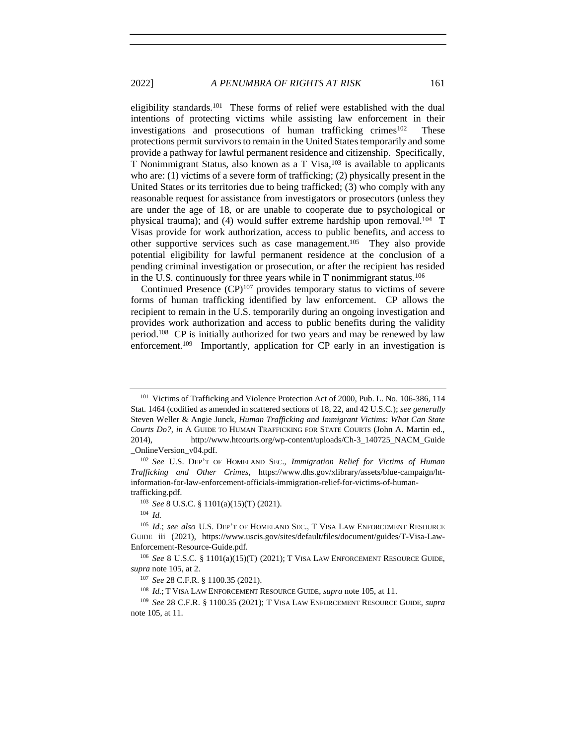eligibility standards.<sup>101</sup> These forms of relief were established with the dual intentions of protecting victims while assisting law enforcement in their investigations and prosecutions of human trafficking crimes $102$  These protections permit survivors to remain in the United States temporarily and some provide a pathway for lawful permanent residence and citizenship. Specifically, T Nonimmigrant Status, also known as a  $T$  Visa,  $^{103}$  is available to applicants who are: (1) victims of a severe form of trafficking; (2) physically present in the United States or its territories due to being trafficked; (3) who comply with any reasonable request for assistance from investigators or prosecutors (unless they are under the age of 18, or are unable to cooperate due to psychological or physical trauma); and (4) would suffer extreme hardship upon removal.<sup>104</sup> T Visas provide for work authorization, access to public benefits, and access to other supportive services such as case management.<sup>105</sup> They also provide potential eligibility for lawful permanent residence at the conclusion of a pending criminal investigation or prosecution, or after the recipient has resided in the U.S. continuously for three years while in T nonimmigrant status.<sup>106</sup>

<span id="page-18-0"></span>Continued Presence  $(CP)^{107}$  provides temporary status to victims of severe forms of human trafficking identified by law enforcement. CP allows the recipient to remain in the U.S. temporarily during an ongoing investigation and provides work authorization and access to public benefits during the validity period.<sup>108</sup> CP is initially authorized for two years and may be renewed by law enforcement.<sup>109</sup> Importantly, application for CP early in an investigation is

<sup>101</sup> Victims of Trafficking and Violence Protection Act of 2000, Pub. L. No. 106-386, 114 Stat. 1464 (codified as amended in scattered sections of 18, 22, and 42 U.S.C.); *see generally*  Steven Weller & Angie Junck, *Human Trafficking and Immigrant Victims: What Can State Courts Do?*, *in* A GUIDE TO HUMAN TRAFFICKING FOR STATE COURTS (John A. Martin ed., 2014), http://www.htcourts.org/wp-content/uploads/Ch-3\_140725\_NACM\_Guide \_OnlineVersion\_v04.pdf.

<sup>102</sup> *See* U.S. DEP'T OF HOMELAND SEC., *Immigration Relief for Victims of Human Trafficking and Other Crimes*, https://www.dhs.gov/xlibrary/assets/blue-campaign/htinformation-for-law-enforcement-officials-immigration-relief-for-victims-of-humantrafficking.pdf.

<sup>103</sup> *See* 8 U.S.C. § 1101(a)(15)(T) (2021).

<sup>104</sup> *Id.*

<sup>105</sup> *Id.*; *see also* U.S. DEP'T OF HOMELAND SEC., T VISA LAW ENFORCEMENT RESOURCE GUIDE iii (2021), https://www.uscis.gov/sites/default/files/document/guides/T-Visa-Law-Enforcement-Resource-Guide.pdf.

<sup>106</sup> *See* 8 U.S.C. § 1101(a)(15)(T) (2021); T VISA LAW ENFORCEMENT RESOURCE GUIDE, *supra* not[e 105,](#page-18-0) at 2.

<sup>107</sup> *See* 28 C.F.R. § 1100.35 (2021).

<sup>108</sup> *Id.*; T VISA LAW ENFORCEMENT RESOURCE GUIDE, *supra* note [105,](#page-18-0) at 11.

<sup>109</sup> *See* 28 C.F.R. § 1100.35 (2021); T VISA LAW ENFORCEMENT RESOURCE GUIDE, *supra*  not[e 105,](#page-18-0) at 11.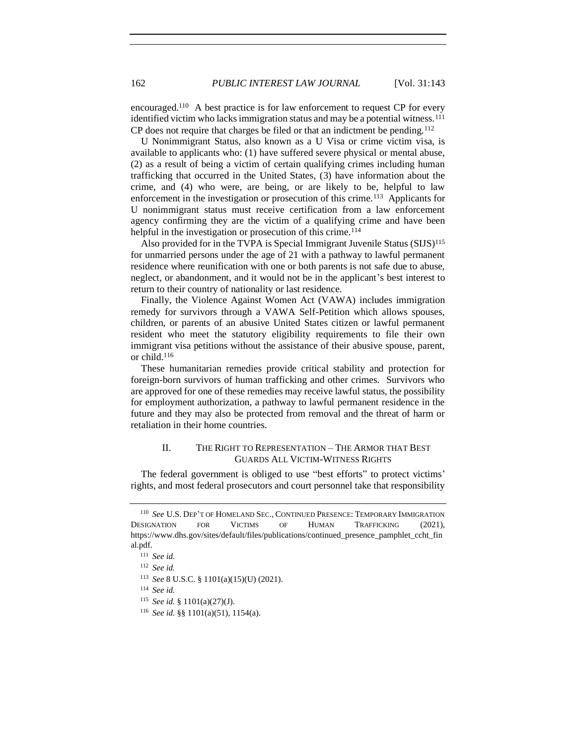encouraged.<sup>110</sup> A best practice is for law enforcement to request CP for every identified victim who lacks immigration status and may be a potential witness.<sup>111</sup> CP does not require that charges be filed or that an indictment be pending.<sup>112</sup>

U Nonimmigrant Status, also known as a U Visa or crime victim visa, is available to applicants who: (1) have suffered severe physical or mental abuse, (2) as a result of being a victim of certain qualifying crimes including human trafficking that occurred in the United States, (3) have information about the crime, and (4) who were, are being, or are likely to be, helpful to law enforcement in the investigation or prosecution of this crime.<sup>113</sup> Applicants for U nonimmigrant status must receive certification from a law enforcement agency confirming they are the victim of a qualifying crime and have been helpful in the investigation or prosecution of this crime.<sup>114</sup>

Also provided for in the TVPA is Special Immigrant Juvenile Status (SIJS)<sup>115</sup> for unmarried persons under the age of 21 with a pathway to lawful permanent residence where reunification with one or both parents is not safe due to abuse, neglect, or abandonment, and it would not be in the applicant's best interest to return to their country of nationality or last residence.

Finally, the Violence Against Women Act (VAWA) includes immigration remedy for survivors through a VAWA Self-Petition which allows spouses, children, or parents of an abusive United States citizen or lawful permanent resident who meet the statutory eligibility requirements to file their own immigrant visa petitions without the assistance of their abusive spouse, parent, or child.<sup>116</sup>

These humanitarian remedies provide critical stability and protection for foreign-born survivors of human trafficking and other crimes. Survivors who are approved for one of these remedies may receive lawful status, the possibility for employment authorization, a pathway to lawful permanent residence in the future and they may also be protected from removal and the threat of harm or retaliation in their home countries.

### II. THE RIGHT TO REPRESENTATION – THE ARMOR THAT BEST GUARDS ALL VICTIM-WITNESS RIGHTS

The federal government is obliged to use "best efforts" to protect victims' rights, and most federal prosecutors and court personnel take that responsibility

<sup>110</sup> *See* U.S. DEP'T OF HOMELAND SEC., CONTINUED PRESENCE: TEMPORARY IMMIGRATION DESIGNATION FOR VICTIMS OF HUMAN TRAFFICKING (2021), https://www.dhs.gov/sites/default/files/publications/continued\_presence\_pamphlet\_ccht\_fin al.pdf.

<sup>111</sup> *See id.*

<sup>112</sup> *See id.*

<sup>113</sup> *See* 8 U.S.C. § 1101(a)(15)(U) (2021).

<sup>114</sup> *See id.*

<sup>115</sup> *See id.* § 1101(a)(27)(J).

<sup>116</sup> *See id.* §§ 1101(a)(51), 1154(a).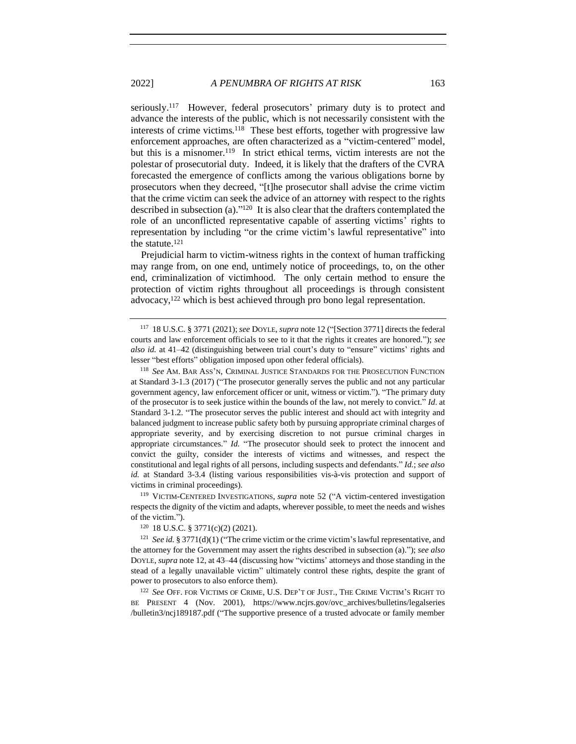seriously.<sup>117</sup> However, federal prosecutors' primary duty is to protect and advance the interests of the public, which is not necessarily consistent with the interests of crime victims.<sup>118</sup> These best efforts, together with progressive law enforcement approaches, are often characterized as a "victim-centered" model, but this is a misnomer.<sup>119</sup> In strict ethical terms, victim interests are not the polestar of prosecutorial duty. Indeed, it is likely that the drafters of the CVRA forecasted the emergence of conflicts among the various obligations borne by prosecutors when they decreed, "[t]he prosecutor shall advise the crime victim that the crime victim can seek the advice of an attorney with respect to the rights described in subsection (a)." 120 It is also clear that the drafters contemplated the role of an unconflicted representative capable of asserting victims' rights to representation by including "or the crime victim's lawful representative" into the statute.<sup>121</sup>

Prejudicial harm to victim-witness rights in the context of human trafficking may range from, on one end, untimely notice of proceedings, to, on the other end, criminalization of victimhood. The only certain method to ensure the protection of victim rights throughout all proceedings is through consistent advocacy,<sup>122</sup> which is best achieved through pro bono legal representation.

<sup>119</sup> VICTIM-CENTERED INVESTIGATIONS, *supra* note [52](#page-10-0) ("A victim-centered investigation respects the dignity of the victim and adapts, wherever possible, to meet the needs and wishes of the victim.").

<sup>120</sup> 18 U.S.C. § 3771(c)(2) (2021).

<sup>121</sup> *See id.* § 3771(d)(1) ("The crime victim or the crime victim's lawful representative, and the attorney for the Government may assert the rights described in subsection (a)."); *see also* DOYLE, *supra* not[e 12,](#page-3-0) at 43–44 (discussing how "victims' attorneys and those standing in the stead of a legally unavailable victim" ultimately control these rights, despite the grant of power to prosecutors to also enforce them).

<sup>122</sup> *See* OFF. FOR VICTIMS OF CRIME, U.S. DEP'T OF JUST., THE CRIME VICTIM'S RIGHT TO BE PRESENT 4 (Nov. 2001), https://www.ncjrs.gov/ovc\_archives/bulletins/legalseries /bulletin3/ncj189187.pdf ("The supportive presence of a trusted advocate or family member

<sup>117</sup> 18 U.S.C. § 3771 (2021); *see* DOYLE, *supra* not[e 12](#page-3-0) ("[Section 3771] directs the federal courts and law enforcement officials to see to it that the rights it creates are honored."); *see also id.* at 41–42 (distinguishing between trial court's duty to "ensure" victims' rights and lesser "best efforts" obligation imposed upon other federal officials).

<sup>118</sup> *See* AM. BAR ASS'N, CRIMINAL JUSTICE STANDARDS FOR THE PROSECUTION FUNCTION at Standard 3-1.3 (2017) ("The prosecutor generally serves the public and not any particular government agency, law enforcement officer or unit, witness or victim."). "The primary duty of the prosecutor is to seek justice within the bounds of the law, not merely to convict." *Id*. at Standard 3-1.2. "The prosecutor serves the public interest and should act with integrity and balanced judgment to increase public safety both by pursuing appropriate criminal charges of appropriate severity, and by exercising discretion to not pursue criminal charges in appropriate circumstances." *Id.* "The prosecutor should seek to protect the innocent and convict the guilty, consider the interests of victims and witnesses, and respect the constitutional and legal rights of all persons, including suspects and defendants." *Id.*; *see also id.* at Standard 3-3.4 (listing various responsibilities vis-à-vis protection and support of victims in criminal proceedings).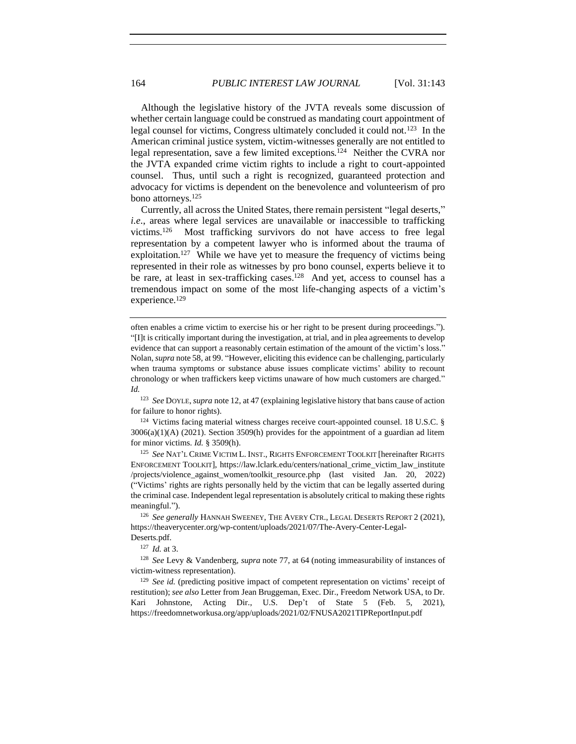Although the legislative history of the JVTA reveals some discussion of whether certain language could be construed as mandating court appointment of legal counsel for victims, Congress ultimately concluded it could not.<sup>123</sup> In the American criminal justice system, victim-witnesses generally are not entitled to legal representation, save a few limited exceptions.<sup>124</sup> Neither the CVRA nor the JVTA expanded crime victim rights to include a right to court-appointed counsel. Thus, until such a right is recognized, guaranteed protection and advocacy for victims is dependent on the benevolence and volunteerism of pro bono attorneys.<sup>125</sup>

Currently, all across the United States, there remain persistent "legal deserts," *i.e*., areas where legal services are unavailable or inaccessible to trafficking victims.<sup>126</sup> Most trafficking survivors do not have access to free legal representation by a competent lawyer who is informed about the trauma of exploitation.<sup>127</sup> While we have yet to measure the frequency of victims being represented in their role as witnesses by pro bono counsel, experts believe it to be rare, at least in sex-trafficking cases.<sup>128</sup> And yet, access to counsel has a tremendous impact on some of the most life-changing aspects of a victim's experience.<sup>129</sup>

<sup>124</sup> Victims facing material witness charges receive court-appointed counsel. 18 U.S.C. § 3006(a)(1)(A) (2021). Section 3509(h) provides for the appointment of a guardian ad litem for minor victims. *Id.* § 3509(h).

<sup>125</sup> *See* NAT'L CRIME VICTIM L. INST., RIGHTS ENFORCEMENT TOOLKIT [hereinafter RIGHTS ENFORCEMENT TOOLKIT], https://law.lclark.edu/centers/national\_crime\_victim\_law\_institute /projects/violence\_against\_women/toolkit\_resource.php (last visited Jan. 20, 2022) ("Victims' rights are rights personally held by the victim that can be legally asserted during the criminal case. Independent legal representation is absolutely critical to making these rights meaningful.").

<sup>126</sup> *See generally* HANNAH SWEENEY, THE AVERY CTR., LEGAL DESERTS REPORT 2 (2021), https://theaverycenter.org/wp-content/uploads/2021/07/The-Avery-Center-Legal-Deserts.pdf.

<sup>127</sup> *Id.* at 3.

<sup>128</sup> *See* Levy & Vandenberg, *supra* note [77,](#page-14-1) at 64 (noting immeasurability of instances of victim-witness representation).

<sup>129</sup> *See id.* (predicting positive impact of competent representation on victims' receipt of restitution); *see also* Letter from Jean Bruggeman, Exec. Dir., Freedom Network USA, to Dr. Kari Johnstone, Acting Dir., U.S. Dep't of State 5 (Feb. 5, 2021), https://freedomnetworkusa.org/app/uploads/2021/02/FNUSA2021TIPReportInput.pdf

often enables a crime victim to exercise his or her right to be present during proceedings."). "[I]t is critically important during the investigation, at trial, and in plea agreements to develop evidence that can support a reasonably certain estimation of the amount of the victim's loss." Nolan, *supra* note [58,](#page-11-0) at 99. "However, eliciting this evidence can be challenging, particularly when trauma symptoms or substance abuse issues complicate victims' ability to recount chronology or when traffickers keep victims unaware of how much customers are charged." *Id.*

<sup>123</sup> *See* DOYLE, *supra* not[e 12,](#page-3-0) at 47 (explaining legislative history that bans cause of action for failure to honor rights).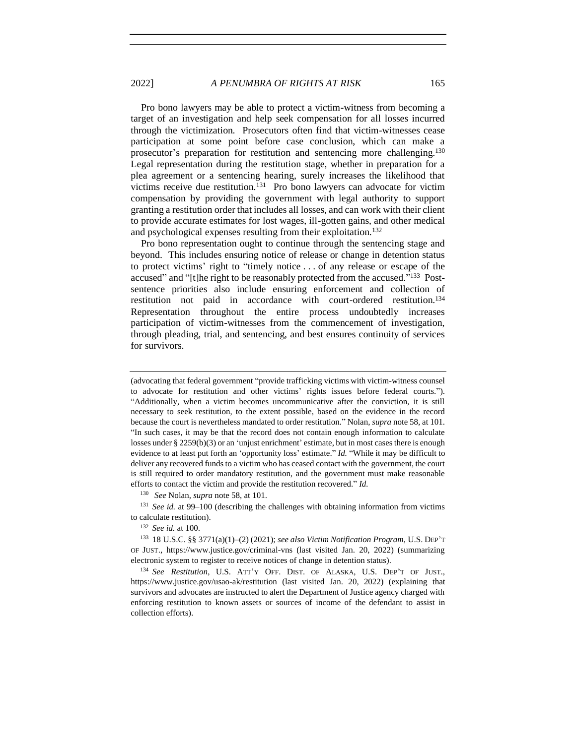Pro bono lawyers may be able to protect a victim-witness from becoming a target of an investigation and help seek compensation for all losses incurred through the victimization. Prosecutors often find that victim-witnesses cease participation at some point before case conclusion, which can make a prosecutor's preparation for restitution and sentencing more challenging.<sup>130</sup> Legal representation during the restitution stage, whether in preparation for a plea agreement or a sentencing hearing, surely increases the likelihood that victims receive due restitution.<sup>131</sup> Pro bono lawyers can advocate for victim compensation by providing the government with legal authority to support granting a restitution order that includes all losses, and can work with their client to provide accurate estimates for lost wages, ill-gotten gains, and other medical and psychological expenses resulting from their exploitation.<sup>132</sup>

Pro bono representation ought to continue through the sentencing stage and beyond. This includes ensuring notice of release or change in detention status to protect victims' right to "timely notice . . . of any release or escape of the accused" and "[t]he right to be reasonably protected from the accused."<sup>133</sup> Postsentence priorities also include ensuring enforcement and collection of restitution not paid in accordance with court-ordered restitution.<sup>134</sup> Representation throughout the entire process undoubtedly increases participation of victim-witnesses from the commencement of investigation, through pleading, trial, and sentencing, and best ensures continuity of services for survivors.

(advocating that federal government "provide trafficking victims with victim-witness counsel to advocate for restitution and other victims' rights issues before federal courts."). "Additionally, when a victim becomes uncommunicative after the conviction, it is still necessary to seek restitution, to the extent possible, based on the evidence in the record because the court is nevertheless mandated to order restitution." Nolan, *supra* not[e 58,](#page-11-0) at 101. "In such cases, it may be that the record does not contain enough information to calculate losses under § 2259(b)(3) or an 'unjust enrichment' estimate, but in most cases there is enough evidence to at least put forth an 'opportunity loss' estimate." *Id.* "While it may be difficult to deliver any recovered funds to a victim who has ceased contact with the government, the court is still required to order mandatory restitution, and the government must make reasonable efforts to contact the victim and provide the restitution recovered." *Id.*

<sup>130</sup> *See* Nolan, *supra* note [58,](#page-11-0) at 101.

<sup>131</sup> *See id.* at 99–100 (describing the challenges with obtaining information from victims to calculate restitution).

<sup>132</sup> *See id.* at 100.

<sup>133</sup> 18 U.S.C. §§ 3771(a)(1)–(2) (2021); *see also Victim Notification Program*, U.S. DEP'T OF JUST., https://www.justice.gov/criminal-vns (last visited Jan. 20, 2022) (summarizing electronic system to register to receive notices of change in detention status).

<sup>134</sup> *See Restitution*, U.S. ATT'Y OFF. DIST. OF ALASKA, U.S. DEP'T OF JUST., https://www.justice.gov/usao-ak/restitution (last visited Jan. 20, 2022) (explaining that survivors and advocates are instructed to alert the Department of Justice agency charged with enforcing restitution to known assets or sources of income of the defendant to assist in collection efforts).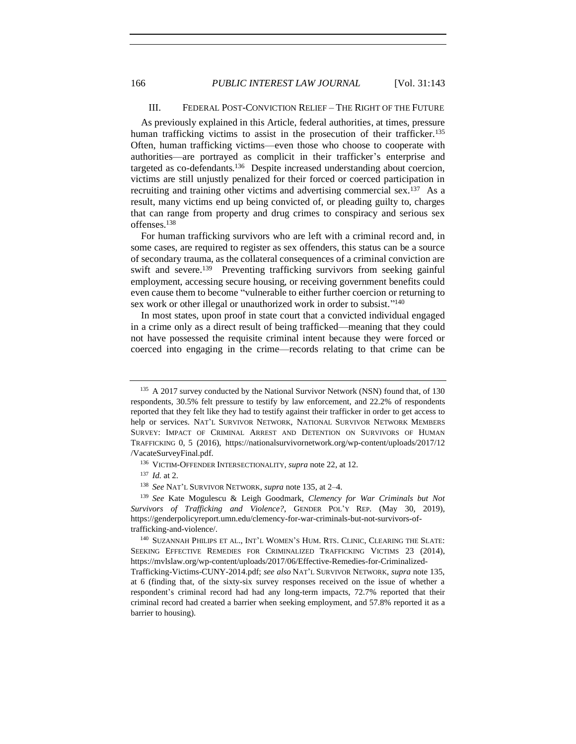### <span id="page-23-0"></span>III. FEDERAL POST-CONVICTION RELIEF – THE RIGHT OF THE FUTURE

As previously explained in this Article, federal authorities, at times, pressure human trafficking victims to assist in the prosecution of their trafficker.<sup>135</sup> Often, human trafficking victims—even those who choose to cooperate with authorities—are portrayed as complicit in their trafficker's enterprise and targeted as co-defendants.<sup>136</sup> Despite increased understanding about coercion, victims are still unjustly penalized for their forced or coerced participation in recruiting and training other victims and advertising commercial sex.<sup>137</sup> As a result, many victims end up being convicted of, or pleading guilty to, charges that can range from property and drug crimes to conspiracy and serious sex offenses. 138

For human trafficking survivors who are left with a criminal record and, in some cases, are required to register as sex offenders, this status can be a source of secondary trauma, as the collateral consequences of a criminal conviction are swift and severe.<sup>139</sup> Preventing trafficking survivors from seeking gainful employment, accessing secure housing, or receiving government benefits could even cause them to become "vulnerable to either further coercion or returning to sex work or other illegal or unauthorized work in order to subsist."<sup>140</sup>

In most states, upon proof in state court that a convicted individual engaged in a crime only as a direct result of being trafficked—meaning that they could not have possessed the requisite criminal intent because they were forced or coerced into engaging in the crime—records relating to that crime can be

<sup>136</sup> VICTIM-OFFENDER INTERSECTIONALITY, *supra* not[e 22,](#page-5-0) at 12.

<sup>137</sup> *Id.* at 2.

<sup>&</sup>lt;sup>135</sup> A 2017 survey conducted by the National Survivor Network (NSN) found that, of 130 respondents, 30.5% felt pressure to testify by law enforcement, and 22.2% of respondents reported that they felt like they had to testify against their trafficker in order to get access to help or services. NAT'L SURVIVOR NETWORK, NATIONAL SURVIVOR NETWORK MEMBERS SURVEY: IMPACT OF CRIMINAL ARREST AND DETENTION ON SURVIVORS OF HUMAN TRAFFICKING 0, 5 (2016), https://nationalsurvivornetwork.org/wp-content/uploads/2017/12 /VacateSurveyFinal.pdf.

<sup>138</sup> *See* NAT'L SURVIVOR NETWORK, *supra* not[e 135,](#page-23-0) at 2–4.

<sup>139</sup> *See* Kate Mogulescu & Leigh Goodmark, *Clemency for War Criminals but Not Survivors of Trafficking and Violence?*, GENDER POL'Y REP. (May 30, 2019), https://genderpolicyreport.umn.edu/clemency-for-war-criminals-but-not-survivors-oftrafficking-and-violence/.

<sup>140</sup> SUZANNAH PHILIPS ET AL., INT'L WOMEN'S HUM. RTS. CLINIC, CLEARING THE SLATE: SEEKING EFFECTIVE REMEDIES FOR CRIMINALIZED TRAFFICKING VICTIMS 23 (2014), https://mvlslaw.org/wp-content/uploads/2017/06/Effective-Remedies-for-Criminalized-Trafficking-Victims-CUNY-2014.pdf; *see also* NAT'L SURVIVOR NETWORK, *supra* note [135,](#page-23-0)

at 6 (finding that, of the sixty-six survey responses received on the issue of whether a respondent's criminal record had had any long-term impacts, 72.7% reported that their criminal record had created a barrier when seeking employment, and 57.8% reported it as a barrier to housing).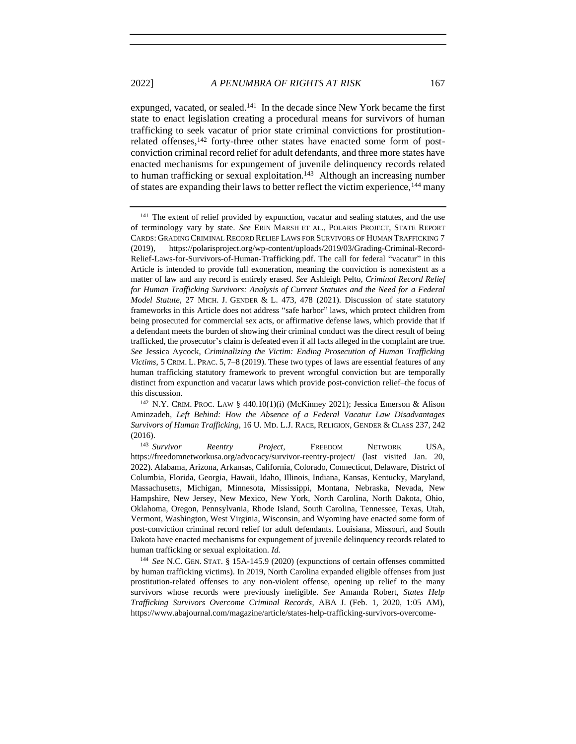<span id="page-24-1"></span>expunged, vacated, or sealed.<sup>141</sup> In the decade since New York became the first state to enact legislation creating a procedural means for survivors of human trafficking to seek vacatur of prior state criminal convictions for prostitutionrelated offenses,<sup>142</sup> forty-three other states have enacted some form of postconviction criminal record relief for adult defendants, and three more states have enacted mechanisms for expungement of juvenile delinquency records related to human trafficking or sexual exploitation.<sup>143</sup> Although an increasing number of states are expanding their laws to better reflect the victim experience,<sup>144</sup> many

<sup>144</sup> *See* N.C. GEN. STAT. § 15A-145.9 (2020) (expunctions of certain offenses committed by human trafficking victims). In 2019, North Carolina expanded eligible offenses from just prostitution-related offenses to any non-violent offense, opening up relief to the many survivors whose records were previously ineligible. *See* Amanda Robert, *States Help Trafficking Survivors Overcome Criminal Records*, ABA J. (Feb. 1, 2020, 1:05 AM), https://www.abajournal.com/magazine/article/states-help-trafficking-survivors-overcome-

<span id="page-24-0"></span><sup>&</sup>lt;sup>141</sup> The extent of relief provided by expunction, vacatur and sealing statutes, and the use of terminology vary by state. *See* ERIN MARSH ET AL., POLARIS PROJECT, STATE REPORT CARDS: GRADING CRIMINAL RECORD RELIEF LAWS FOR SURVIVORS OF HUMAN TRAFFICKING 7 (2019), https://polarisproject.org/wp-content/uploads/2019/03/Grading-Criminal-Record-Relief-Laws-for-Survivors-of-Human-Trafficking.pdf. The call for federal "vacatur" in this Article is intended to provide full exoneration, meaning the conviction is nonexistent as a matter of law and any record is entirely erased. *See* Ashleigh Pelto, *Criminal Record Relief*  for Human Trafficking Survivors: Analysis of Current Statutes and the Need for a Federal *Model Statute*, 27 MICH. J. GENDER & L. 473, 478 (2021). Discussion of state statutory frameworks in this Article does not address "safe harbor" laws, which protect children from being prosecuted for commercial sex acts, or affirmative defense laws, which provide that if a defendant meets the burden of showing their criminal conduct was the direct result of being trafficked, the prosecutor's claim is defeated even if all facts alleged in the complaint are true. *See* Jessica Aycock, *Criminalizing the Victim: Ending Prosecution of Human Trafficking Victims*, 5 CRIM. L. PRAC. 5, 7–8 (2019). These two types of laws are essential features of any human trafficking statutory framework to prevent wrongful conviction but are temporally distinct from expunction and vacatur laws which provide post-conviction relief–the focus of this discussion.

<sup>142</sup> N.Y. CRIM. PROC. LAW § 440.10(1)(i) (McKinney 2021); Jessica Emerson & Alison Aminzadeh*, Left Behind: How the Absence of a Federal Vacatur Law Disadvantages Survivors of Human Trafficking*, 16 U. MD. L.J. RACE, RELIGION, GENDER & CLASS 237, 242 (2016).

<sup>143</sup> *Survivor Reentry Project*, FREEDOM NETWORK USA, https://freedomnetworkusa.org/advocacy/survivor-reentry-project/ (last visited Jan. 20, 2022). Alabama, Arizona, Arkansas, California, Colorado, Connecticut, Delaware, District of Columbia, Florida, Georgia, Hawaii, Idaho, Illinois, Indiana, Kansas, Kentucky, Maryland, Massachusetts, Michigan, Minnesota, Mississippi, Montana, Nebraska, Nevada, New Hampshire, New Jersey, New Mexico, New York, North Carolina, North Dakota, Ohio, Oklahoma, Oregon, Pennsylvania, Rhode Island, South Carolina, Tennessee, Texas, Utah, Vermont, Washington, West Virginia, Wisconsin, and Wyoming have enacted some form of post-conviction criminal record relief for adult defendants. Louisiana, Missouri, and South Dakota have enacted mechanisms for expungement of juvenile delinquency records related to human trafficking or sexual exploitation. *Id.*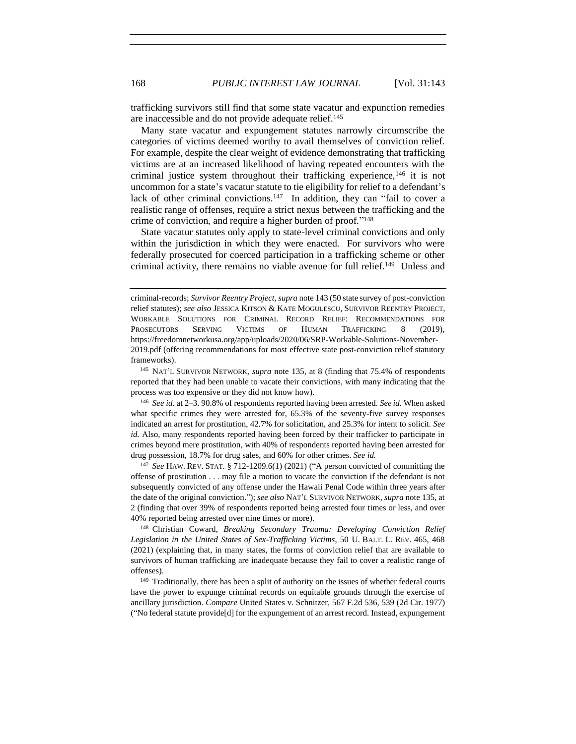trafficking survivors still find that some state vacatur and expunction remedies are inaccessible and do not provide adequate relief.<sup>145</sup>

Many state vacatur and expungement statutes narrowly circumscribe the categories of victims deemed worthy to avail themselves of conviction relief. For example, despite the clear weight of evidence demonstrating that trafficking victims are at an increased likelihood of having repeated encounters with the criminal justice system throughout their trafficking experience,<sup>146</sup> it is not uncommon for a state's vacatur statute to tie eligibility for relief to a defendant's lack of other criminal convictions.<sup>147</sup> In addition, they can "fail to cover a realistic range of offenses, require a strict nexus between the trafficking and the crime of conviction, and require a higher burden of proof." 148

<span id="page-25-0"></span>State vacatur statutes only apply to state-level criminal convictions and only within the jurisdiction in which they were enacted. For survivors who were federally prosecuted for coerced participation in a trafficking scheme or other criminal activity, there remains no viable avenue for full relief.<sup>149</sup> Unless and

<sup>145</sup> NAT'L SURVIVOR NETWORK, *supra* note [135,](#page-23-0) at 8 (finding that 75.4% of respondents reported that they had been unable to vacate their convictions, with many indicating that the process was too expensive or they did not know how).

<sup>146</sup> *See id.* at 2–3. 90.8% of respondents reported having been arrested. *See id.* When asked what specific crimes they were arrested for, 65.3% of the seventy-five survey responses indicated an arrest for prostitution, 42.7% for solicitation, and 25.3% for intent to solicit. *See id.* Also, many respondents reported having been forced by their trafficker to participate in crimes beyond mere prostitution, with 40% of respondents reported having been arrested for drug possession, 18.7% for drug sales, and 60% for other crimes. *See id.*

<sup>147</sup> *See* HAW. REV. STAT. § 712-1209.6(1) (2021) ("A person convicted of committing the offense of prostitution . . . may file a motion to vacate the conviction if the defendant is not subsequently convicted of any offense under the Hawaii Penal Code within three years after the date of the original conviction."); *see also* NAT'L SURVIVOR NETWORK, *supra* not[e 135,](#page-23-0) at 2 (finding that over 39% of respondents reported being arrested four times or less, and over 40% reported being arrested over nine times or more).

<sup>148</sup> Christian Coward, *Breaking Secondary Trauma: Developing Conviction Relief Legislation in the United States of Sex-Trafficking Victims*, 50 U. BALT. L. REV. 465, 468 (2021) (explaining that, in many states, the forms of conviction relief that are available to survivors of human trafficking are inadequate because they fail to cover a realistic range of offenses).

<sup>149</sup> Traditionally, there has been a split of authority on the issues of whether federal courts have the power to expunge criminal records on equitable grounds through the exercise of ancillary jurisdiction. *Compare* United States v. Schnitzer, 567 F.2d 536, 539 (2d Cir. 1977) ("No federal statute provide[d] for the expungement of an arrest record. Instead, expungement

criminal-records; *Survivor Reentry Project*, *supra* not[e 143](#page-24-0) (50 state survey of post-conviction relief statutes); *see also* JESSICA KITSON & KATE MOGULESCU, SURVIVOR REENTRY PROJECT, WORKABLE SOLUTIONS FOR CRIMINAL RECORD RELIEF: RECOMMENDATIONS FOR PROSECUTORS SERVING VICTIMS OF HUMAN TRAFFICKING 8 (2019), https://freedomnetworkusa.org/app/uploads/2020/06/SRP-Workable-Solutions-November-2019.pdf (offering recommendations for most effective state post-conviction relief statutory frameworks).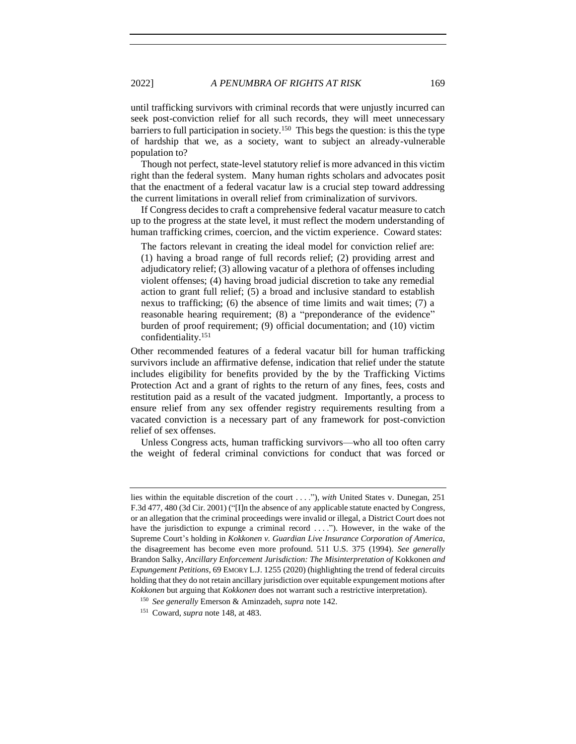until trafficking survivors with criminal records that were unjustly incurred can seek post-conviction relief for all such records, they will meet unnecessary barriers to full participation in society.<sup>150</sup> This begs the question: is this the type of hardship that we, as a society, want to subject an already-vulnerable population to?

Though not perfect, state-level statutory relief is more advanced in this victim right than the federal system. Many human rights scholars and advocates posit that the enactment of a federal vacatur law is a crucial step toward addressing the current limitations in overall relief from criminalization of survivors.

If Congress decides to craft a comprehensive federal vacatur measure to catch up to the progress at the state level, it must reflect the modern understanding of human trafficking crimes, coercion, and the victim experience. Coward states:

The factors relevant in creating the ideal model for conviction relief are: (1) having a broad range of full records relief; (2) providing arrest and adjudicatory relief; (3) allowing vacatur of a plethora of offenses including violent offenses; (4) having broad judicial discretion to take any remedial action to grant full relief; (5) a broad and inclusive standard to establish nexus to trafficking; (6) the absence of time limits and wait times; (7) a reasonable hearing requirement; (8) a "preponderance of the evidence" burden of proof requirement; (9) official documentation; and (10) victim confidentiality.<sup>151</sup>

Other recommended features of a federal vacatur bill for human trafficking survivors include an affirmative defense, indication that relief under the statute includes eligibility for benefits provided by the by the Trafficking Victims Protection Act and a grant of rights to the return of any fines, fees, costs and restitution paid as a result of the vacated judgment. Importantly, a process to ensure relief from any sex offender registry requirements resulting from a vacated conviction is a necessary part of any framework for post-conviction relief of sex offenses.

Unless Congress acts, human trafficking survivors—who all too often carry the weight of federal criminal convictions for conduct that was forced or

lies within the equitable discretion of the court . . . ."), *with* United States v. Dunegan, 251 F.3d 477, 480 (3d Cir. 2001) ("[I]n the absence of any applicable statute enacted by Congress, or an allegation that the criminal proceedings were invalid or illegal, a District Court does not have the jurisdiction to expunge a criminal record  $\dots$ "). However, in the wake of the Supreme Court's holding in *Kokkonen v. Guardian Live Insurance Corporation of America*, the disagreement has become even more profound. 511 U.S. 375 (1994). *See generally* Brandon Salky, *Ancillary Enforcement Jurisdiction: The Misinterpretation of Kokkonen and Expungement Petitions*, 69 EMORY L.J. 1255 (2020) (highlighting the trend of federal circuits holding that they do not retain ancillary jurisdiction over equitable expungement motions after *Kokkonen* but arguing that *Kokkonen* does not warrant such a restrictive interpretation).

<sup>150</sup> *See generally* Emerson & Aminzadeh, *supra* note [142.](#page-24-1)

<sup>151</sup> Coward, *supra* not[e 148,](#page-25-0) at 483.